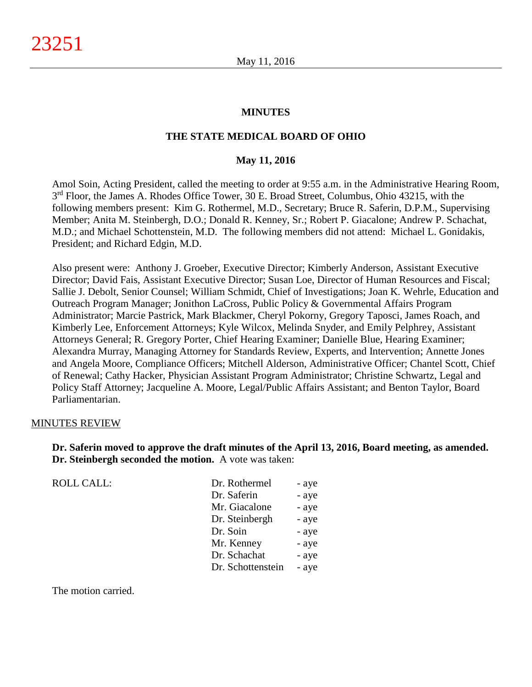### **MINUTES**

### **THE STATE MEDICAL BOARD OF OHIO**

#### **May 11, 2016**

Amol Soin, Acting President, called the meeting to order at 9:55 a.m. in the Administrative Hearing Room,  $3<sup>rd</sup>$  Floor, the James A. Rhodes Office Tower, 30 E. Broad Street, Columbus, Ohio 43215, with the following members present: Kim G. Rothermel, M.D., Secretary; Bruce R. Saferin, D.P.M., Supervising Member; Anita M. Steinbergh, D.O.; Donald R. Kenney, Sr.; Robert P. Giacalone; Andrew P. Schachat, M.D.; and Michael Schottenstein, M.D. The following members did not attend: Michael L. Gonidakis, President; and Richard Edgin, M.D.

Also present were: Anthony J. Groeber, Executive Director; Kimberly Anderson, Assistant Executive Director; David Fais, Assistant Executive Director; Susan Loe, Director of Human Resources and Fiscal; Sallie J. Debolt, Senior Counsel; William Schmidt, Chief of Investigations; Joan K. Wehrle, Education and Outreach Program Manager; Jonithon LaCross, Public Policy & Governmental Affairs Program Administrator; Marcie Pastrick, Mark Blackmer, Cheryl Pokorny, Gregory Taposci, James Roach, and Kimberly Lee, Enforcement Attorneys; Kyle Wilcox, Melinda Snyder, and Emily Pelphrey, Assistant Attorneys General; R. Gregory Porter, Chief Hearing Examiner; Danielle Blue, Hearing Examiner; Alexandra Murray, Managing Attorney for Standards Review, Experts, and Intervention; Annette Jones and Angela Moore, Compliance Officers; Mitchell Alderson, Administrative Officer; Chantel Scott, Chief of Renewal; Cathy Hacker, Physician Assistant Program Administrator; Christine Schwartz, Legal and Policy Staff Attorney; Jacqueline A. Moore, Legal/Public Affairs Assistant; and Benton Taylor, Board Parliamentarian.

#### MINUTES REVIEW

**Dr. Saferin moved to approve the draft minutes of the April 13, 2016, Board meeting, as amended. Dr. Steinbergh seconded the motion.** A vote was taken:

| <b>ROLL CALL:</b> | Dr. Rothermel     | - aye |
|-------------------|-------------------|-------|
|                   | Dr. Saferin       | - aye |
|                   | Mr. Giacalone     | - aye |
|                   | Dr. Steinbergh    | - aye |
|                   | Dr. Soin          | - aye |
|                   | Mr. Kenney        | - aye |
|                   | Dr. Schachat      | - aye |
|                   | Dr. Schottenstein | - aye |
|                   |                   |       |

The motion carried.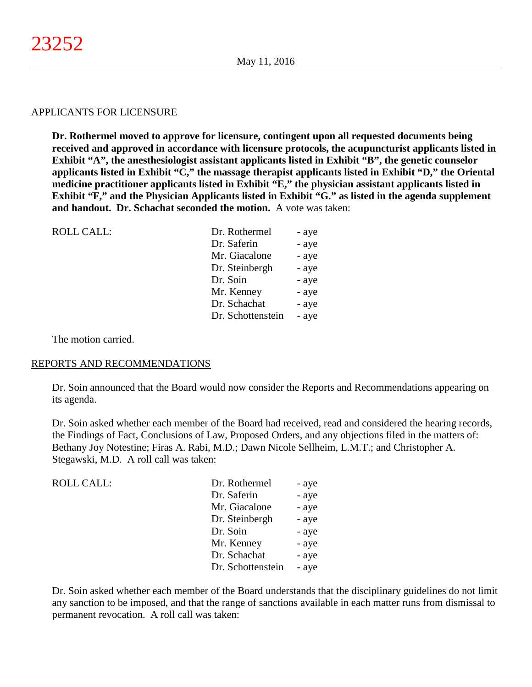### APPLICANTS FOR LICENSURE

**Dr. Rothermel moved to approve for licensure, contingent upon all requested documents being received and approved in accordance with licensure protocols, the acupuncturist applicants listed in Exhibit "A", the anesthesiologist assistant applicants listed in Exhibit "B", the genetic counselor applicants listed in Exhibit "C," the massage therapist applicants listed in Exhibit "D," the Oriental medicine practitioner applicants listed in Exhibit "E," the physician assistant applicants listed in Exhibit "F," and the Physician Applicants listed in Exhibit "G." as listed in the agenda supplement and handout. Dr. Schachat seconded the motion.** A vote was taken:

| <b>ROLL CALL:</b> | Dr. Rothermel     | - aye |
|-------------------|-------------------|-------|
|                   | Dr. Saferin       | - aye |
|                   | Mr. Giacalone     | - aye |
|                   | Dr. Steinbergh    | - aye |
|                   | Dr. Soin          | - aye |
|                   | Mr. Kenney        | - aye |
|                   | Dr. Schachat      | - aye |
|                   | Dr. Schottenstein | - aye |
|                   |                   |       |

The motion carried.

#### REPORTS AND RECOMMENDATIONS

Dr. Soin announced that the Board would now consider the Reports and Recommendations appearing on its agenda.

Dr. Soin asked whether each member of the Board had received, read and considered the hearing records, the Findings of Fact, Conclusions of Law, Proposed Orders, and any objections filed in the matters of: Bethany Joy Notestine; Firas A. Rabi, M.D.; Dawn Nicole Sellheim, L.M.T.; and Christopher A. Stegawski, M.D. A roll call was taken:

| <b>ROLL CALL:</b> | Dr. Rothermel     | - aye |
|-------------------|-------------------|-------|
|                   | Dr. Saferin       | - aye |
|                   | Mr. Giacalone     | - aye |
|                   | Dr. Steinbergh    | - aye |
|                   | Dr. Soin          | - aye |
|                   | Mr. Kenney        | - aye |
|                   | Dr. Schachat      | - aye |
|                   | Dr. Schottenstein | - aye |
|                   |                   |       |

Dr. Soin asked whether each member of the Board understands that the disciplinary guidelines do not limit any sanction to be imposed, and that the range of sanctions available in each matter runs from dismissal to permanent revocation. A roll call was taken: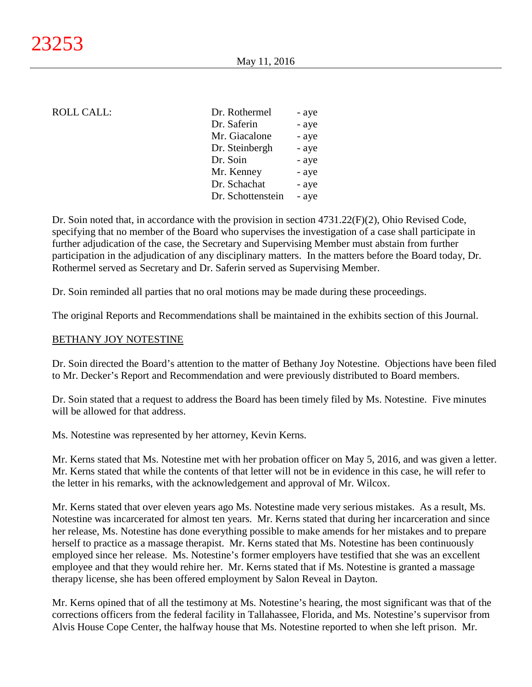### ROLL CALL:

| Dr. Rothermel     | - aye |
|-------------------|-------|
| Dr. Saferin       | - aye |
| Mr. Giacalone     | - aye |
| Dr. Steinbergh    | - aye |
| Dr. Soin          | - aye |
| Mr. Kenney        | - aye |
| Dr. Schachat      | - aye |
| Dr. Schottenstein | - aye |

Dr. Soin noted that, in accordance with the provision in section 4731.22(F)(2), Ohio Revised Code, specifying that no member of the Board who supervises the investigation of a case shall participate in further adjudication of the case, the Secretary and Supervising Member must abstain from further participation in the adjudication of any disciplinary matters. In the matters before the Board today, Dr. Rothermel served as Secretary and Dr. Saferin served as Supervising Member.

Dr. Soin reminded all parties that no oral motions may be made during these proceedings.

The original Reports and Recommendations shall be maintained in the exhibits section of this Journal.

### BETHANY JOY NOTESTINE

Dr. Soin directed the Board's attention to the matter of Bethany Joy Notestine. Objections have been filed to Mr. Decker's Report and Recommendation and were previously distributed to Board members.

Dr. Soin stated that a request to address the Board has been timely filed by Ms. Notestine. Five minutes will be allowed for that address.

Ms. Notestine was represented by her attorney, Kevin Kerns.

Mr. Kerns stated that Ms. Notestine met with her probation officer on May 5, 2016, and was given a letter. Mr. Kerns stated that while the contents of that letter will not be in evidence in this case, he will refer to the letter in his remarks, with the acknowledgement and approval of Mr. Wilcox.

Mr. Kerns stated that over eleven years ago Ms. Notestine made very serious mistakes. As a result, Ms. Notestine was incarcerated for almost ten years. Mr. Kerns stated that during her incarceration and since her release, Ms. Notestine has done everything possible to make amends for her mistakes and to prepare herself to practice as a massage therapist. Mr. Kerns stated that Ms. Notestine has been continuously employed since her release. Ms. Notestine's former employers have testified that she was an excellent employee and that they would rehire her. Mr. Kerns stated that if Ms. Notestine is granted a massage therapy license, she has been offered employment by Salon Reveal in Dayton.

Mr. Kerns opined that of all the testimony at Ms. Notestine's hearing, the most significant was that of the corrections officers from the federal facility in Tallahassee, Florida, and Ms. Notestine's supervisor from Alvis House Cope Center, the halfway house that Ms. Notestine reported to when she left prison. Mr.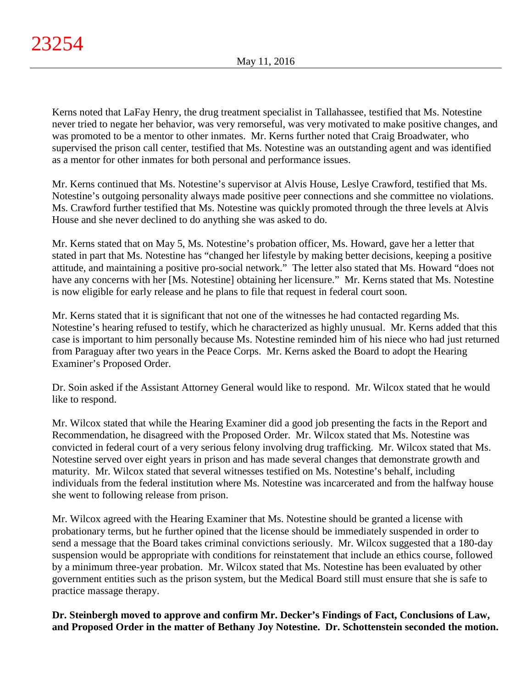Kerns noted that LaFay Henry, the drug treatment specialist in Tallahassee, testified that Ms. Notestine never tried to negate her behavior, was very remorseful, was very motivated to make positive changes, and was promoted to be a mentor to other inmates. Mr. Kerns further noted that Craig Broadwater, who supervised the prison call center, testified that Ms. Notestine was an outstanding agent and was identified as a mentor for other inmates for both personal and performance issues.

Mr. Kerns continued that Ms. Notestine's supervisor at Alvis House, Leslye Crawford, testified that Ms. Notestine's outgoing personality always made positive peer connections and she committee no violations. Ms. Crawford further testified that Ms. Notestine was quickly promoted through the three levels at Alvis House and she never declined to do anything she was asked to do.

Mr. Kerns stated that on May 5, Ms. Notestine's probation officer, Ms. Howard, gave her a letter that stated in part that Ms. Notestine has "changed her lifestyle by making better decisions, keeping a positive attitude, and maintaining a positive pro-social network." The letter also stated that Ms. Howard "does not have any concerns with her [Ms. Notestine] obtaining her licensure." Mr. Kerns stated that Ms. Notestine is now eligible for early release and he plans to file that request in federal court soon.

Mr. Kerns stated that it is significant that not one of the witnesses he had contacted regarding Ms. Notestine's hearing refused to testify, which he characterized as highly unusual. Mr. Kerns added that this case is important to him personally because Ms. Notestine reminded him of his niece who had just returned from Paraguay after two years in the Peace Corps. Mr. Kerns asked the Board to adopt the Hearing Examiner's Proposed Order.

Dr. Soin asked if the Assistant Attorney General would like to respond. Mr. Wilcox stated that he would like to respond.

Mr. Wilcox stated that while the Hearing Examiner did a good job presenting the facts in the Report and Recommendation, he disagreed with the Proposed Order. Mr. Wilcox stated that Ms. Notestine was convicted in federal court of a very serious felony involving drug trafficking. Mr. Wilcox stated that Ms. Notestine served over eight years in prison and has made several changes that demonstrate growth and maturity. Mr. Wilcox stated that several witnesses testified on Ms. Notestine's behalf, including individuals from the federal institution where Ms. Notestine was incarcerated and from the halfway house she went to following release from prison.

Mr. Wilcox agreed with the Hearing Examiner that Ms. Notestine should be granted a license with probationary terms, but he further opined that the license should be immediately suspended in order to send a message that the Board takes criminal convictions seriously. Mr. Wilcox suggested that a 180-day suspension would be appropriate with conditions for reinstatement that include an ethics course, followed by a minimum three-year probation. Mr. Wilcox stated that Ms. Notestine has been evaluated by other government entities such as the prison system, but the Medical Board still must ensure that she is safe to practice massage therapy.

**Dr. Steinbergh moved to approve and confirm Mr. Decker's Findings of Fact, Conclusions of Law, and Proposed Order in the matter of Bethany Joy Notestine. Dr. Schottenstein seconded the motion.**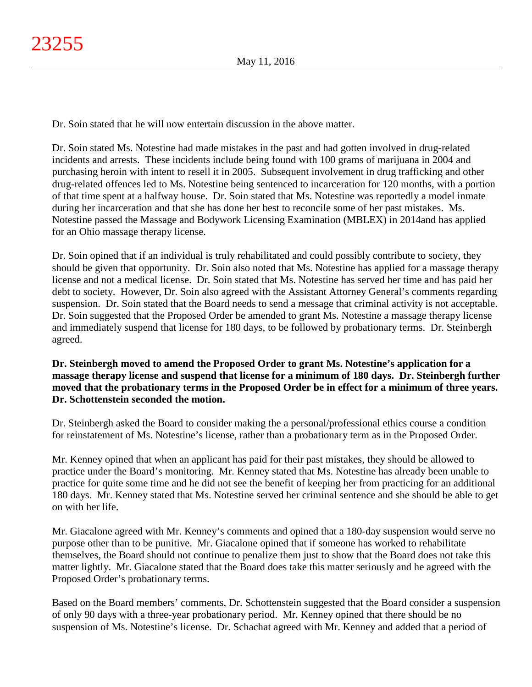Dr. Soin stated that he will now entertain discussion in the above matter.

Dr. Soin stated Ms. Notestine had made mistakes in the past and had gotten involved in drug-related incidents and arrests. These incidents include being found with 100 grams of marijuana in 2004 and purchasing heroin with intent to resell it in 2005. Subsequent involvement in drug trafficking and other drug-related offences led to Ms. Notestine being sentenced to incarceration for 120 months, with a portion of that time spent at a halfway house. Dr. Soin stated that Ms. Notestine was reportedly a model inmate during her incarceration and that she has done her best to reconcile some of her past mistakes. Ms. Notestine passed the Massage and Bodywork Licensing Examination (MBLEX) in 2014and has applied for an Ohio massage therapy license.

Dr. Soin opined that if an individual is truly rehabilitated and could possibly contribute to society, they should be given that opportunity. Dr. Soin also noted that Ms. Notestine has applied for a massage therapy license and not a medical license. Dr. Soin stated that Ms. Notestine has served her time and has paid her debt to society. However, Dr. Soin also agreed with the Assistant Attorney General's comments regarding suspension. Dr. Soin stated that the Board needs to send a message that criminal activity is not acceptable. Dr. Soin suggested that the Proposed Order be amended to grant Ms. Notestine a massage therapy license and immediately suspend that license for 180 days, to be followed by probationary terms. Dr. Steinbergh agreed.

# **Dr. Steinbergh moved to amend the Proposed Order to grant Ms. Notestine's application for a massage therapy license and suspend that license for a minimum of 180 days. Dr. Steinbergh further moved that the probationary terms in the Proposed Order be in effect for a minimum of three years. Dr. Schottenstein seconded the motion.**

Dr. Steinbergh asked the Board to consider making the a personal/professional ethics course a condition for reinstatement of Ms. Notestine's license, rather than a probationary term as in the Proposed Order.

Mr. Kenney opined that when an applicant has paid for their past mistakes, they should be allowed to practice under the Board's monitoring. Mr. Kenney stated that Ms. Notestine has already been unable to practice for quite some time and he did not see the benefit of keeping her from practicing for an additional 180 days. Mr. Kenney stated that Ms. Notestine served her criminal sentence and she should be able to get on with her life.

Mr. Giacalone agreed with Mr. Kenney's comments and opined that a 180-day suspension would serve no purpose other than to be punitive. Mr. Giacalone opined that if someone has worked to rehabilitate themselves, the Board should not continue to penalize them just to show that the Board does not take this matter lightly. Mr. Giacalone stated that the Board does take this matter seriously and he agreed with the Proposed Order's probationary terms.

Based on the Board members' comments, Dr. Schottenstein suggested that the Board consider a suspension of only 90 days with a three-year probationary period. Mr. Kenney opined that there should be no suspension of Ms. Notestine's license. Dr. Schachat agreed with Mr. Kenney and added that a period of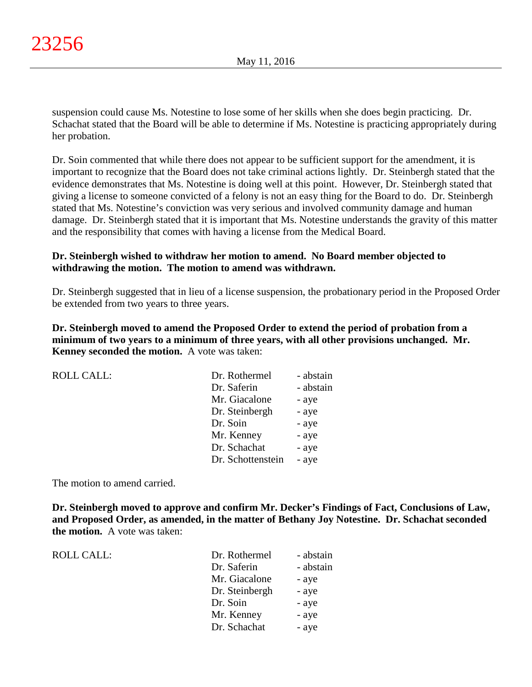suspension could cause Ms. Notestine to lose some of her skills when she does begin practicing. Dr. Schachat stated that the Board will be able to determine if Ms. Notestine is practicing appropriately during her probation.

Dr. Soin commented that while there does not appear to be sufficient support for the amendment, it is important to recognize that the Board does not take criminal actions lightly. Dr. Steinbergh stated that the evidence demonstrates that Ms. Notestine is doing well at this point. However, Dr. Steinbergh stated that giving a license to someone convicted of a felony is not an easy thing for the Board to do. Dr. Steinbergh stated that Ms. Notestine's conviction was very serious and involved community damage and human damage. Dr. Steinbergh stated that it is important that Ms. Notestine understands the gravity of this matter and the responsibility that comes with having a license from the Medical Board.

### **Dr. Steinbergh wished to withdraw her motion to amend. No Board member objected to withdrawing the motion. The motion to amend was withdrawn.**

Dr. Steinbergh suggested that in lieu of a license suspension, the probationary period in the Proposed Order be extended from two years to three years.

**Dr. Steinbergh moved to amend the Proposed Order to extend the period of probation from a minimum of two years to a minimum of three years, with all other provisions unchanged. Mr. Kenney seconded the motion.** A vote was taken:

| - abstain |
|-----------|
| - abstain |
| - aye     |
| - aye     |
| - aye     |
| - aye     |
| - aye     |
| - aye     |
|           |

The motion to amend carried.

**Dr. Steinbergh moved to approve and confirm Mr. Decker's Findings of Fact, Conclusions of Law, and Proposed Order, as amended, in the matter of Bethany Joy Notestine. Dr. Schachat seconded the motion.** A vote was taken:

 $ROLL CALL$ :

| Dr. Rothermel  | - abstain |
|----------------|-----------|
| Dr. Saferin    | - abstain |
| Mr. Giacalone  | - aye     |
| Dr. Steinbergh | - aye     |
| Dr. Soin       | - aye     |
| Mr. Kenney     | - aye     |
| Dr. Schachat   | - aye     |
|                |           |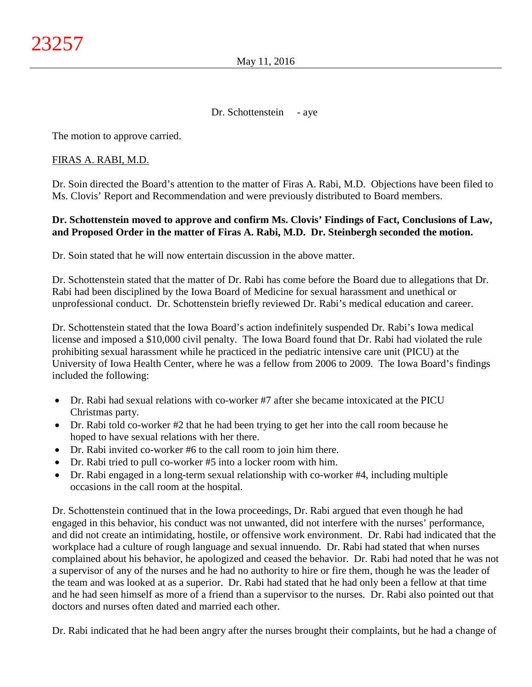### Dr. Schottenstein - aye

The motion to approve carried.

### FIRAS A. RABI, M.D.

Dr. Soin directed the Board's attention to the matter of Firas A. Rabi, M.D. Objections have been filed to Ms. Clovis' Report and Recommendation and were previously distributed to Board members.

### **Dr. Schottenstein moved to approve and confirm Ms. Clovis' Findings of Fact, Conclusions of Law, and Proposed Order in the matter of Firas A. Rabi, M.D. Dr. Steinbergh seconded the motion.**

Dr. Soin stated that he will now entertain discussion in the above matter.

Dr. Schottenstein stated that the matter of Dr. Rabi has come before the Board due to allegations that Dr. Rabi had been disciplined by the Iowa Board of Medicine for sexual harassment and unethical or unprofessional conduct. Dr. Schottenstein briefly reviewed Dr. Rabi's medical education and career.

Dr. Schottenstein stated that the Iowa Board's action indefinitely suspended Dr. Rabi's Iowa medical license and imposed a \$10,000 civil penalty. The Iowa Board found that Dr. Rabi had violated the rule prohibiting sexual harassment while he practiced in the pediatric intensive care unit (PICU) at the University of Iowa Health Center, where he was a fellow from 2006 to 2009. The Iowa Board's findings included the following:

- Dr. Rabi had sexual relations with co-worker #7 after she became intoxicated at the PICU Christmas party.
- Dr. Rabi told co-worker #2 that he had been trying to get her into the call room because he hoped to have sexual relations with her there.
- Dr. Rabi invited co-worker #6 to the call room to join him there.
- Dr. Rabi tried to pull co-worker #5 into a locker room with him.
- Dr. Rabi engaged in a long-term sexual relationship with co-worker #4, including multiple occasions in the call room at the hospital.

Dr. Schottenstein continued that in the Iowa proceedings, Dr. Rabi argued that even though he had engaged in this behavior, his conduct was not unwanted, did not interfere with the nurses' performance, and did not create an intimidating, hostile, or offensive work environment. Dr. Rabi had indicated that the workplace had a culture of rough language and sexual innuendo. Dr. Rabi had stated that when nurses complained about his behavior, he apologized and ceased the behavior. Dr. Rabi had noted that he was not a supervisor of any of the nurses and he had no authority to hire or fire them, though he was the leader of the team and was looked at as a superior. Dr. Rabi had stated that he had only been a fellow at that time and he had seen himself as more of a friend than a supervisor to the nurses. Dr. Rabi also pointed out that doctors and nurses often dated and married each other.

Dr. Rabi indicated that he had been angry after the nurses brought their complaints, but he had a change of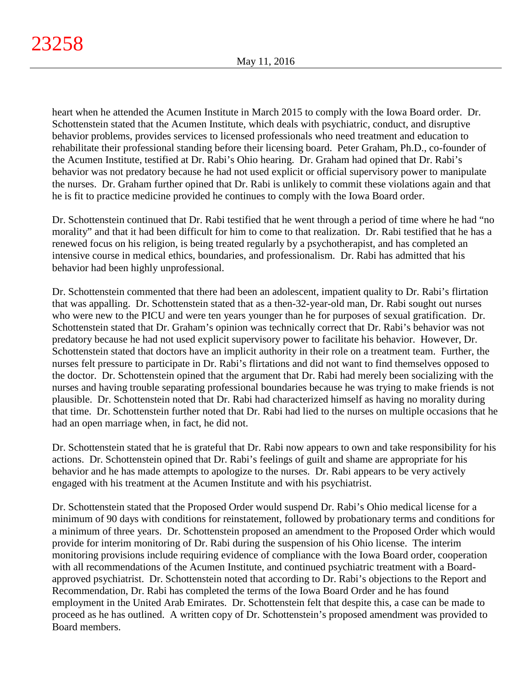heart when he attended the Acumen Institute in March 2015 to comply with the Iowa Board order. Dr. Schottenstein stated that the Acumen Institute, which deals with psychiatric, conduct, and disruptive behavior problems, provides services to licensed professionals who need treatment and education to rehabilitate their professional standing before their licensing board. Peter Graham, Ph.D., co-founder of the Acumen Institute, testified at Dr. Rabi's Ohio hearing. Dr. Graham had opined that Dr. Rabi's behavior was not predatory because he had not used explicit or official supervisory power to manipulate the nurses. Dr. Graham further opined that Dr. Rabi is unlikely to commit these violations again and that he is fit to practice medicine provided he continues to comply with the Iowa Board order.

Dr. Schottenstein continued that Dr. Rabi testified that he went through a period of time where he had "no morality" and that it had been difficult for him to come to that realization. Dr. Rabi testified that he has a renewed focus on his religion, is being treated regularly by a psychotherapist, and has completed an intensive course in medical ethics, boundaries, and professionalism. Dr. Rabi has admitted that his behavior had been highly unprofessional.

Dr. Schottenstein commented that there had been an adolescent, impatient quality to Dr. Rabi's flirtation that was appalling. Dr. Schottenstein stated that as a then-32-year-old man, Dr. Rabi sought out nurses who were new to the PICU and were ten years younger than he for purposes of sexual gratification. Dr. Schottenstein stated that Dr. Graham's opinion was technically correct that Dr. Rabi's behavior was not predatory because he had not used explicit supervisory power to facilitate his behavior. However, Dr. Schottenstein stated that doctors have an implicit authority in their role on a treatment team. Further, the nurses felt pressure to participate in Dr. Rabi's flirtations and did not want to find themselves opposed to the doctor. Dr. Schottenstein opined that the argument that Dr. Rabi had merely been socializing with the nurses and having trouble separating professional boundaries because he was trying to make friends is not plausible. Dr. Schottenstein noted that Dr. Rabi had characterized himself as having no morality during that time. Dr. Schottenstein further noted that Dr. Rabi had lied to the nurses on multiple occasions that he had an open marriage when, in fact, he did not.

Dr. Schottenstein stated that he is grateful that Dr. Rabi now appears to own and take responsibility for his actions. Dr. Schottenstein opined that Dr. Rabi's feelings of guilt and shame are appropriate for his behavior and he has made attempts to apologize to the nurses. Dr. Rabi appears to be very actively engaged with his treatment at the Acumen Institute and with his psychiatrist.

Dr. Schottenstein stated that the Proposed Order would suspend Dr. Rabi's Ohio medical license for a minimum of 90 days with conditions for reinstatement, followed by probationary terms and conditions for a minimum of three years. Dr. Schottenstein proposed an amendment to the Proposed Order which would provide for interim monitoring of Dr. Rabi during the suspension of his Ohio license. The interim monitoring provisions include requiring evidence of compliance with the Iowa Board order, cooperation with all recommendations of the Acumen Institute, and continued psychiatric treatment with a Boardapproved psychiatrist. Dr. Schottenstein noted that according to Dr. Rabi's objections to the Report and Recommendation, Dr. Rabi has completed the terms of the Iowa Board Order and he has found employment in the United Arab Emirates. Dr. Schottenstein felt that despite this, a case can be made to proceed as he has outlined. A written copy of Dr. Schottenstein's proposed amendment was provided to Board members.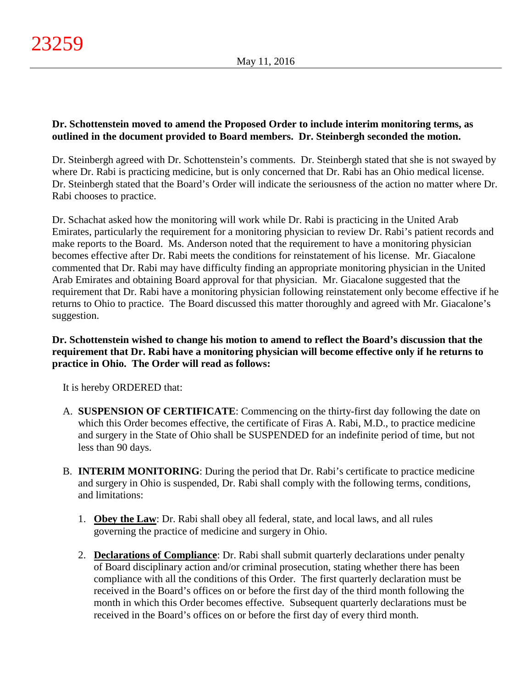# **Dr. Schottenstein moved to amend the Proposed Order to include interim monitoring terms, as outlined in the document provided to Board members. Dr. Steinbergh seconded the motion.**

Dr. Steinbergh agreed with Dr. Schottenstein's comments. Dr. Steinbergh stated that she is not swayed by where Dr. Rabi is practicing medicine, but is only concerned that Dr. Rabi has an Ohio medical license. Dr. Steinbergh stated that the Board's Order will indicate the seriousness of the action no matter where Dr. Rabi chooses to practice.

Dr. Schachat asked how the monitoring will work while Dr. Rabi is practicing in the United Arab Emirates, particularly the requirement for a monitoring physician to review Dr. Rabi's patient records and make reports to the Board. Ms. Anderson noted that the requirement to have a monitoring physician becomes effective after Dr. Rabi meets the conditions for reinstatement of his license. Mr. Giacalone commented that Dr. Rabi may have difficulty finding an appropriate monitoring physician in the United Arab Emirates and obtaining Board approval for that physician. Mr. Giacalone suggested that the requirement that Dr. Rabi have a monitoring physician following reinstatement only become effective if he returns to Ohio to practice. The Board discussed this matter thoroughly and agreed with Mr. Giacalone's suggestion.

## **Dr. Schottenstein wished to change his motion to amend to reflect the Board's discussion that the requirement that Dr. Rabi have a monitoring physician will become effective only if he returns to practice in Ohio. The Order will read as follows:**

It is hereby ORDERED that:

- A. **SUSPENSION OF CERTIFICATE**: Commencing on the thirty-first day following the date on which this Order becomes effective, the certificate of Firas A. Rabi, M.D., to practice medicine and surgery in the State of Ohio shall be SUSPENDED for an indefinite period of time, but not less than 90 days.
- B. **INTERIM MONITORING**: During the period that Dr. Rabi's certificate to practice medicine and surgery in Ohio is suspended, Dr. Rabi shall comply with the following terms, conditions, and limitations:
	- 1. **Obey the Law**: Dr. Rabi shall obey all federal, state, and local laws, and all rules governing the practice of medicine and surgery in Ohio.
	- 2. **Declarations of Compliance**: Dr. Rabi shall submit quarterly declarations under penalty of Board disciplinary action and/or criminal prosecution, stating whether there has been compliance with all the conditions of this Order. The first quarterly declaration must be received in the Board's offices on or before the first day of the third month following the month in which this Order becomes effective. Subsequent quarterly declarations must be received in the Board's offices on or before the first day of every third month.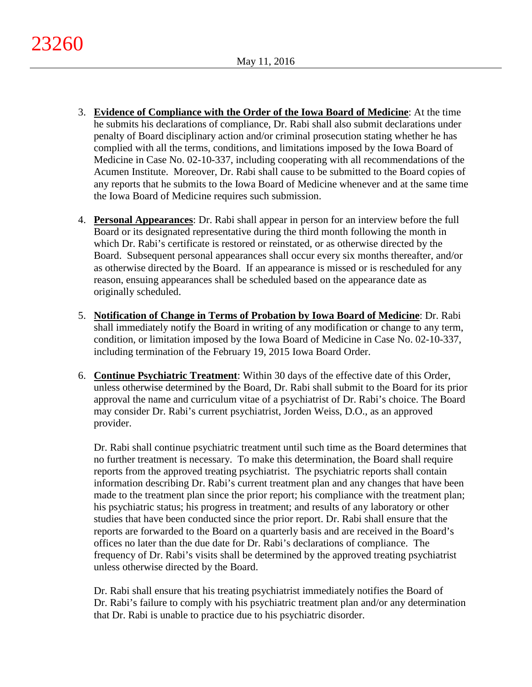- 3. **Evidence of Compliance with the Order of the Iowa Board of Medicine**: At the time he submits his declarations of compliance, Dr. Rabi shall also submit declarations under penalty of Board disciplinary action and/or criminal prosecution stating whether he has complied with all the terms, conditions, and limitations imposed by the Iowa Board of Medicine in Case No. 02-10-337, including cooperating with all recommendations of the Acumen Institute. Moreover, Dr. Rabi shall cause to be submitted to the Board copies of any reports that he submits to the Iowa Board of Medicine whenever and at the same time the Iowa Board of Medicine requires such submission.
- 4. **Personal Appearances**: Dr. Rabi shall appear in person for an interview before the full Board or its designated representative during the third month following the month in which Dr. Rabi's certificate is restored or reinstated, or as otherwise directed by the Board. Subsequent personal appearances shall occur every six months thereafter, and/or as otherwise directed by the Board. If an appearance is missed or is rescheduled for any reason, ensuing appearances shall be scheduled based on the appearance date as originally scheduled.
- 5. **Notification of Change in Terms of Probation by Iowa Board of Medicine**: Dr. Rabi shall immediately notify the Board in writing of any modification or change to any term, condition, or limitation imposed by the Iowa Board of Medicine in Case No. 02-10-337, including termination of the February 19, 2015 Iowa Board Order.
- 6. **Continue Psychiatric Treatment**: Within 30 days of the effective date of this Order, unless otherwise determined by the Board, Dr. Rabi shall submit to the Board for its prior approval the name and curriculum vitae of a psychiatrist of Dr. Rabi's choice. The Board may consider Dr. Rabi's current psychiatrist, Jorden Weiss, D.O., as an approved provider.

Dr. Rabi shall continue psychiatric treatment until such time as the Board determines that no further treatment is necessary. To make this determination, the Board shall require reports from the approved treating psychiatrist. The psychiatric reports shall contain information describing Dr. Rabi's current treatment plan and any changes that have been made to the treatment plan since the prior report; his compliance with the treatment plan; his psychiatric status; his progress in treatment; and results of any laboratory or other studies that have been conducted since the prior report. Dr. Rabi shall ensure that the reports are forwarded to the Board on a quarterly basis and are received in the Board's offices no later than the due date for Dr. Rabi's declarations of compliance. The frequency of Dr. Rabi's visits shall be determined by the approved treating psychiatrist unless otherwise directed by the Board.

Dr. Rabi shall ensure that his treating psychiatrist immediately notifies the Board of Dr. Rabi's failure to comply with his psychiatric treatment plan and/or any determination that Dr. Rabi is unable to practice due to his psychiatric disorder.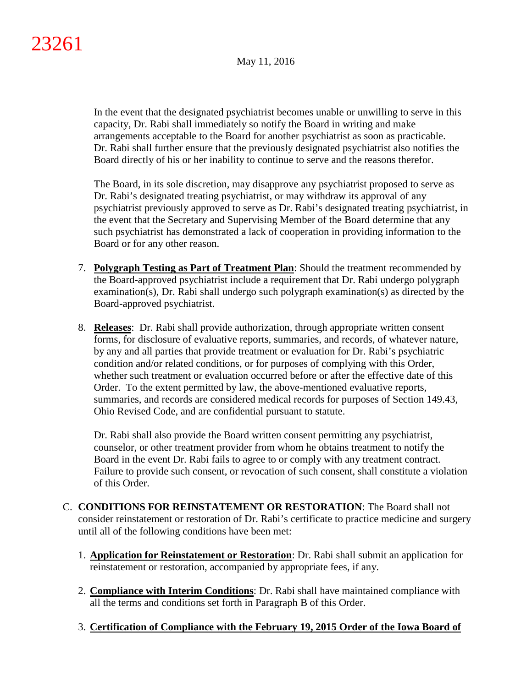In the event that the designated psychiatrist becomes unable or unwilling to serve in this capacity, Dr. Rabi shall immediately so notify the Board in writing and make arrangements acceptable to the Board for another psychiatrist as soon as practicable. Dr. Rabi shall further ensure that the previously designated psychiatrist also notifies the Board directly of his or her inability to continue to serve and the reasons therefor.

The Board, in its sole discretion, may disapprove any psychiatrist proposed to serve as Dr. Rabi's designated treating psychiatrist, or may withdraw its approval of any psychiatrist previously approved to serve as Dr. Rabi's designated treating psychiatrist, in the event that the Secretary and Supervising Member of the Board determine that any such psychiatrist has demonstrated a lack of cooperation in providing information to the Board or for any other reason.

- 7. **Polygraph Testing as Part of Treatment Plan**: Should the treatment recommended by the Board-approved psychiatrist include a requirement that Dr. Rabi undergo polygraph examination(s), Dr. Rabi shall undergo such polygraph examination(s) as directed by the Board-approved psychiatrist.
- 8. **Releases**: Dr. Rabi shall provide authorization, through appropriate written consent forms, for disclosure of evaluative reports, summaries, and records, of whatever nature, by any and all parties that provide treatment or evaluation for Dr. Rabi's psychiatric condition and/or related conditions, or for purposes of complying with this Order, whether such treatment or evaluation occurred before or after the effective date of this Order. To the extent permitted by law, the above-mentioned evaluative reports, summaries, and records are considered medical records for purposes of Section 149.43, Ohio Revised Code, and are confidential pursuant to statute.

Dr. Rabi shall also provide the Board written consent permitting any psychiatrist, counselor, or other treatment provider from whom he obtains treatment to notify the Board in the event Dr. Rabi fails to agree to or comply with any treatment contract. Failure to provide such consent, or revocation of such consent, shall constitute a violation of this Order.

- C. **CONDITIONS FOR REINSTATEMENT OR RESTORATION**: The Board shall not consider reinstatement or restoration of Dr. Rabi's certificate to practice medicine and surgery until all of the following conditions have been met:
	- 1. **Application for Reinstatement or Restoration**: Dr. Rabi shall submit an application for reinstatement or restoration, accompanied by appropriate fees, if any.
	- 2. **Compliance with Interim Conditions**: Dr. Rabi shall have maintained compliance with all the terms and conditions set forth in Paragraph B of this Order.
	- 3. **Certification of Compliance with the February 19, 2015 Order of the Iowa Board of**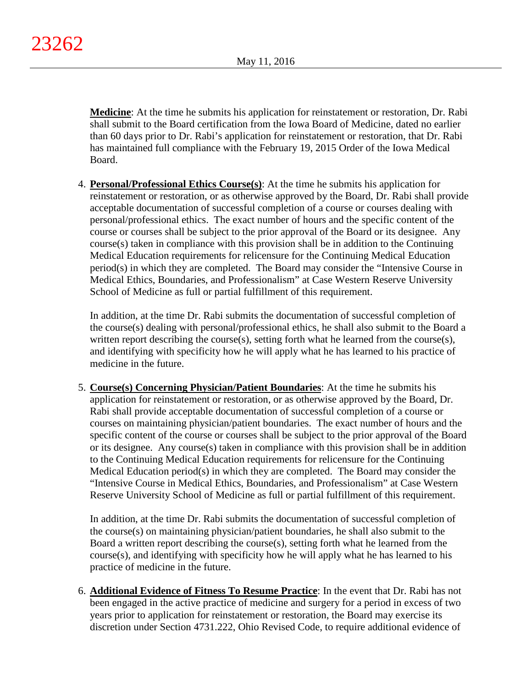**Medicine**: At the time he submits his application for reinstatement or restoration, Dr. Rabi shall submit to the Board certification from the Iowa Board of Medicine, dated no earlier than 60 days prior to Dr. Rabi's application for reinstatement or restoration, that Dr. Rabi has maintained full compliance with the February 19, 2015 Order of the Iowa Medical Board.

4. **Personal/Professional Ethics Course(s)**: At the time he submits his application for reinstatement or restoration, or as otherwise approved by the Board, Dr. Rabi shall provide acceptable documentation of successful completion of a course or courses dealing with personal/professional ethics. The exact number of hours and the specific content of the course or courses shall be subject to the prior approval of the Board or its designee. Any course(s) taken in compliance with this provision shall be in addition to the Continuing Medical Education requirements for relicensure for the Continuing Medical Education period(s) in which they are completed. The Board may consider the "Intensive Course in Medical Ethics, Boundaries, and Professionalism" at Case Western Reserve University School of Medicine as full or partial fulfillment of this requirement.

In addition, at the time Dr. Rabi submits the documentation of successful completion of the course(s) dealing with personal/professional ethics, he shall also submit to the Board a written report describing the course(s), setting forth what he learned from the course(s), and identifying with specificity how he will apply what he has learned to his practice of medicine in the future.

5. **Course(s) Concerning Physician/Patient Boundaries**: At the time he submits his application for reinstatement or restoration, or as otherwise approved by the Board, Dr. Rabi shall provide acceptable documentation of successful completion of a course or courses on maintaining physician/patient boundaries. The exact number of hours and the specific content of the course or courses shall be subject to the prior approval of the Board or its designee. Any course(s) taken in compliance with this provision shall be in addition to the Continuing Medical Education requirements for relicensure for the Continuing Medical Education period(s) in which they are completed. The Board may consider the "Intensive Course in Medical Ethics, Boundaries, and Professionalism" at Case Western Reserve University School of Medicine as full or partial fulfillment of this requirement.

In addition, at the time Dr. Rabi submits the documentation of successful completion of the course(s) on maintaining physician/patient boundaries, he shall also submit to the Board a written report describing the course(s), setting forth what he learned from the course(s), and identifying with specificity how he will apply what he has learned to his practice of medicine in the future.

6. **Additional Evidence of Fitness To Resume Practice**: In the event that Dr. Rabi has not been engaged in the active practice of medicine and surgery for a period in excess of two years prior to application for reinstatement or restoration, the Board may exercise its discretion under Section 4731.222, Ohio Revised Code, to require additional evidence of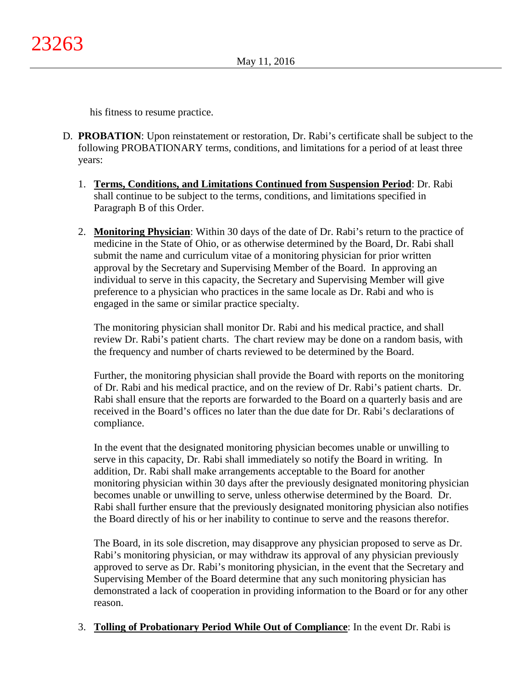his fitness to resume practice.

- D. **PROBATION**: Upon reinstatement or restoration, Dr. Rabi's certificate shall be subject to the following PROBATIONARY terms, conditions, and limitations for a period of at least three years:
	- 1. **Terms, Conditions, and Limitations Continued from Suspension Period**: Dr. Rabi shall continue to be subject to the terms, conditions, and limitations specified in Paragraph B of this Order.
	- 2. **Monitoring Physician**: Within 30 days of the date of Dr. Rabi's return to the practice of medicine in the State of Ohio, or as otherwise determined by the Board, Dr. Rabi shall submit the name and curriculum vitae of a monitoring physician for prior written approval by the Secretary and Supervising Member of the Board. In approving an individual to serve in this capacity, the Secretary and Supervising Member will give preference to a physician who practices in the same locale as Dr. Rabi and who is engaged in the same or similar practice specialty.

The monitoring physician shall monitor Dr. Rabi and his medical practice, and shall review Dr. Rabi's patient charts. The chart review may be done on a random basis, with the frequency and number of charts reviewed to be determined by the Board.

Further, the monitoring physician shall provide the Board with reports on the monitoring of Dr. Rabi and his medical practice, and on the review of Dr. Rabi's patient charts. Dr. Rabi shall ensure that the reports are forwarded to the Board on a quarterly basis and are received in the Board's offices no later than the due date for Dr. Rabi's declarations of compliance.

In the event that the designated monitoring physician becomes unable or unwilling to serve in this capacity, Dr. Rabi shall immediately so notify the Board in writing. In addition, Dr. Rabi shall make arrangements acceptable to the Board for another monitoring physician within 30 days after the previously designated monitoring physician becomes unable or unwilling to serve, unless otherwise determined by the Board. Dr. Rabi shall further ensure that the previously designated monitoring physician also notifies the Board directly of his or her inability to continue to serve and the reasons therefor.

The Board, in its sole discretion, may disapprove any physician proposed to serve as Dr. Rabi's monitoring physician, or may withdraw its approval of any physician previously approved to serve as Dr. Rabi's monitoring physician, in the event that the Secretary and Supervising Member of the Board determine that any such monitoring physician has demonstrated a lack of cooperation in providing information to the Board or for any other reason.

3. **Tolling of Probationary Period While Out of Compliance**: In the event Dr. Rabi is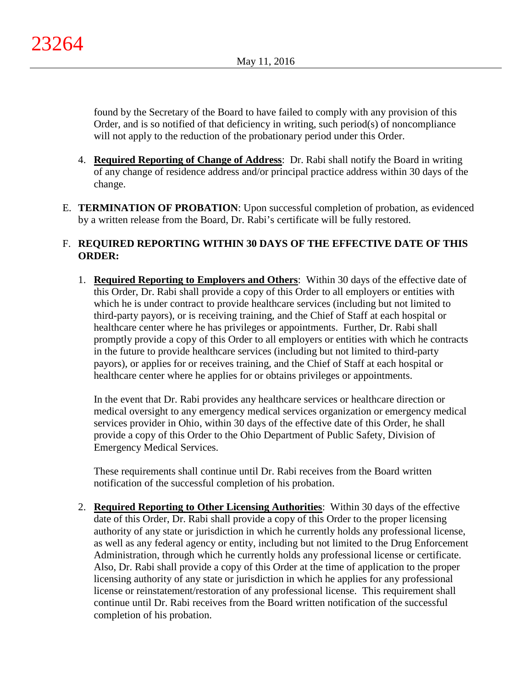found by the Secretary of the Board to have failed to comply with any provision of this Order, and is so notified of that deficiency in writing, such period(s) of noncompliance will not apply to the reduction of the probationary period under this Order.

- 4. **Required Reporting of Change of Address**: Dr. Rabi shall notify the Board in writing of any change of residence address and/or principal practice address within 30 days of the change.
- E. **TERMINATION OF PROBATION**: Upon successful completion of probation, as evidenced by a written release from the Board, Dr. Rabi's certificate will be fully restored.

# F. **REQUIRED REPORTING WITHIN 30 DAYS OF THE EFFECTIVE DATE OF THIS ORDER:**

1. **Required Reporting to Employers and Others**: Within 30 days of the effective date of this Order, Dr. Rabi shall provide a copy of this Order to all employers or entities with which he is under contract to provide healthcare services (including but not limited to third-party payors), or is receiving training, and the Chief of Staff at each hospital or healthcare center where he has privileges or appointments. Further, Dr. Rabi shall promptly provide a copy of this Order to all employers or entities with which he contracts in the future to provide healthcare services (including but not limited to third-party payors), or applies for or receives training, and the Chief of Staff at each hospital or healthcare center where he applies for or obtains privileges or appointments.

In the event that Dr. Rabi provides any healthcare services or healthcare direction or medical oversight to any emergency medical services organization or emergency medical services provider in Ohio, within 30 days of the effective date of this Order, he shall provide a copy of this Order to the Ohio Department of Public Safety, Division of Emergency Medical Services.

These requirements shall continue until Dr. Rabi receives from the Board written notification of the successful completion of his probation.

2. **Required Reporting to Other Licensing Authorities**: Within 30 days of the effective date of this Order, Dr. Rabi shall provide a copy of this Order to the proper licensing authority of any state or jurisdiction in which he currently holds any professional license, as well as any federal agency or entity, including but not limited to the Drug Enforcement Administration, through which he currently holds any professional license or certificate. Also, Dr. Rabi shall provide a copy of this Order at the time of application to the proper licensing authority of any state or jurisdiction in which he applies for any professional license or reinstatement/restoration of any professional license. This requirement shall continue until Dr. Rabi receives from the Board written notification of the successful completion of his probation.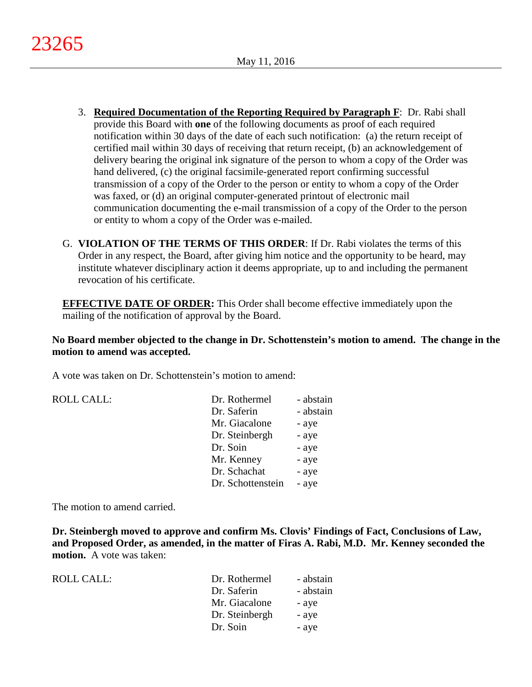- 3. **Required Documentation of the Reporting Required by Paragraph F**: Dr. Rabi shall provide this Board with **one** of the following documents as proof of each required notification within 30 days of the date of each such notification: (a) the return receipt of certified mail within 30 days of receiving that return receipt, (b) an acknowledgement of delivery bearing the original ink signature of the person to whom a copy of the Order was hand delivered, (c) the original facsimile-generated report confirming successful transmission of a copy of the Order to the person or entity to whom a copy of the Order was faxed, or (d) an original computer-generated printout of electronic mail communication documenting the e-mail transmission of a copy of the Order to the person or entity to whom a copy of the Order was e-mailed.
- G. **VIOLATION OF THE TERMS OF THIS ORDER**: If Dr. Rabi violates the terms of this Order in any respect, the Board, after giving him notice and the opportunity to be heard, may institute whatever disciplinary action it deems appropriate, up to and including the permanent revocation of his certificate.

**EFFECTIVE DATE OF ORDER:** This Order shall become effective immediately upon the mailing of the notification of approval by the Board.

**No Board member objected to the change in Dr. Schottenstein's motion to amend. The change in the motion to amend was accepted.**

A vote was taken on Dr. Schottenstein's motion to amend:

| <b>ROLL CALL:</b> | Dr. Rothermel     | - abstain |
|-------------------|-------------------|-----------|
|                   | Dr. Saferin       | - abstain |
|                   | Mr. Giacalone     | - aye     |
|                   | Dr. Steinbergh    | - aye     |
|                   | Dr. Soin          | - aye     |
|                   | Mr. Kenney        | - aye     |
|                   | Dr. Schachat      | - aye     |
|                   | Dr. Schottenstein | - aye     |
|                   |                   |           |

The motion to amend carried.

**Dr. Steinbergh moved to approve and confirm Ms. Clovis' Findings of Fact, Conclusions of Law, and Proposed Order, as amended, in the matter of Firas A. Rabi, M.D. Mr. Kenney seconded the**  motion. A vote was taken:

| ROLL CALL: | Dr. Rothermel  | - abstain |
|------------|----------------|-----------|
|            | Dr. Saferin    | - abstain |
|            | Mr. Giacalone  | - aye     |
|            | Dr. Steinbergh | - aye     |
|            | Dr. Soin       | - aye     |
|            |                |           |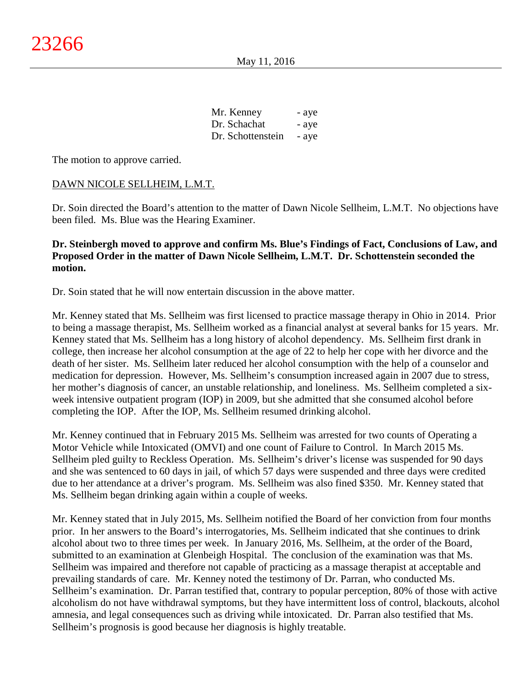| Mr. Kenney        | - aye |
|-------------------|-------|
| Dr. Schachat      | - aye |
| Dr. Schottenstein | - aye |

The motion to approve carried.

### DAWN NICOLE SELLHEIM, L.M.T.

Dr. Soin directed the Board's attention to the matter of Dawn Nicole Sellheim, L.M.T. No objections have been filed. Ms. Blue was the Hearing Examiner.

### **Dr. Steinbergh moved to approve and confirm Ms. Blue's Findings of Fact, Conclusions of Law, and Proposed Order in the matter of Dawn Nicole Sellheim, L.M.T. Dr. Schottenstein seconded the motion.**

Dr. Soin stated that he will now entertain discussion in the above matter.

Mr. Kenney stated that Ms. Sellheim was first licensed to practice massage therapy in Ohio in 2014. Prior to being a massage therapist, Ms. Sellheim worked as a financial analyst at several banks for 15 years. Mr. Kenney stated that Ms. Sellheim has a long history of alcohol dependency. Ms. Sellheim first drank in college, then increase her alcohol consumption at the age of 22 to help her cope with her divorce and the death of her sister. Ms. Sellheim later reduced her alcohol consumption with the help of a counselor and medication for depression. However, Ms. Sellheim's consumption increased again in 2007 due to stress, her mother's diagnosis of cancer, an unstable relationship, and loneliness. Ms. Sellheim completed a sixweek intensive outpatient program (IOP) in 2009, but she admitted that she consumed alcohol before completing the IOP. After the IOP, Ms. Sellheim resumed drinking alcohol.

Mr. Kenney continued that in February 2015 Ms. Sellheim was arrested for two counts of Operating a Motor Vehicle while Intoxicated (OMVI) and one count of Failure to Control. In March 2015 Ms. Sellheim pled guilty to Reckless Operation. Ms. Sellheim's driver's license was suspended for 90 days and she was sentenced to 60 days in jail, of which 57 days were suspended and three days were credited due to her attendance at a driver's program. Ms. Sellheim was also fined \$350. Mr. Kenney stated that Ms. Sellheim began drinking again within a couple of weeks.

Mr. Kenney stated that in July 2015, Ms. Sellheim notified the Board of her conviction from four months prior. In her answers to the Board's interrogatories, Ms. Sellheim indicated that she continues to drink alcohol about two to three times per week. In January 2016, Ms. Sellheim, at the order of the Board, submitted to an examination at Glenbeigh Hospital. The conclusion of the examination was that Ms. Sellheim was impaired and therefore not capable of practicing as a massage therapist at acceptable and prevailing standards of care. Mr. Kenney noted the testimony of Dr. Parran, who conducted Ms. Sellheim's examination. Dr. Parran testified that, contrary to popular perception, 80% of those with active alcoholism do not have withdrawal symptoms, but they have intermittent loss of control, blackouts, alcohol amnesia, and legal consequences such as driving while intoxicated. Dr. Parran also testified that Ms. Sellheim's prognosis is good because her diagnosis is highly treatable.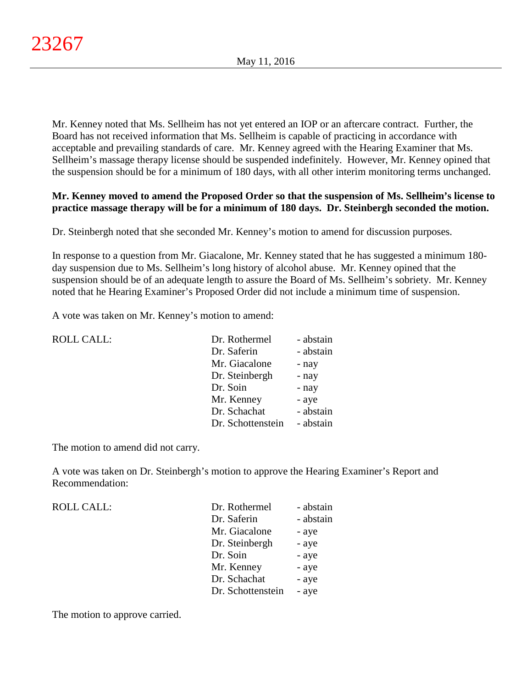Mr. Kenney noted that Ms. Sellheim has not yet entered an IOP or an aftercare contract. Further, the Board has not received information that Ms. Sellheim is capable of practicing in accordance with acceptable and prevailing standards of care. Mr. Kenney agreed with the Hearing Examiner that Ms. Sellheim's massage therapy license should be suspended indefinitely. However, Mr. Kenney opined that the suspension should be for a minimum of 180 days, with all other interim monitoring terms unchanged.

# **Mr. Kenney moved to amend the Proposed Order so that the suspension of Ms. Sellheim's license to practice massage therapy will be for a minimum of 180 days. Dr. Steinbergh seconded the motion.**

Dr. Steinbergh noted that she seconded Mr. Kenney's motion to amend for discussion purposes.

In response to a question from Mr. Giacalone, Mr. Kenney stated that he has suggested a minimum 180 day suspension due to Ms. Sellheim's long history of alcohol abuse. Mr. Kenney opined that the suspension should be of an adequate length to assure the Board of Ms. Sellheim's sobriety. Mr. Kenney noted that he Hearing Examiner's Proposed Order did not include a minimum time of suspension.

A vote was taken on Mr. Kenney's motion to amend:

| <b>ROLL CALL:</b> | Dr. Rothermel     | - abstain |
|-------------------|-------------------|-----------|
|                   | Dr. Saferin       | - abstain |
|                   | Mr. Giacalone     | - nay     |
|                   | Dr. Steinbergh    | - nay     |
|                   | Dr. Soin          | - nay     |
|                   | Mr. Kenney        | - aye     |
|                   | Dr. Schachat      | - abstain |
|                   | Dr. Schottenstein | - abstain |

The motion to amend did not carry.

A vote was taken on Dr. Steinbergh's motion to approve the Hearing Examiner's Report and Recommendation:

| Dr. Rothermel     | - abstain |
|-------------------|-----------|
| Dr. Saferin       | - abstain |
| Mr. Giacalone     | - aye     |
| Dr. Steinbergh    | - aye     |
| Dr. Soin          | - aye     |
| Mr. Kenney        | - aye     |
| Dr. Schachat      | - aye     |
| Dr. Schottenstein | - aye     |
|                   |           |

The motion to approve carried.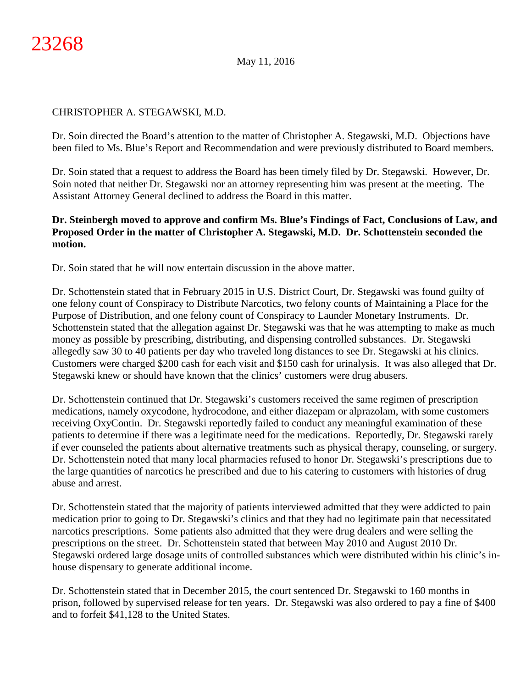# CHRISTOPHER A. STEGAWSKI, M.D.

Dr. Soin directed the Board's attention to the matter of Christopher A. Stegawski, M.D. Objections have been filed to Ms. Blue's Report and Recommendation and were previously distributed to Board members.

Dr. Soin stated that a request to address the Board has been timely filed by Dr. Stegawski. However, Dr. Soin noted that neither Dr. Stegawski nor an attorney representing him was present at the meeting. The Assistant Attorney General declined to address the Board in this matter.

# **Dr. Steinbergh moved to approve and confirm Ms. Blue's Findings of Fact, Conclusions of Law, and Proposed Order in the matter of Christopher A. Stegawski, M.D. Dr. Schottenstein seconded the motion.**

Dr. Soin stated that he will now entertain discussion in the above matter.

Dr. Schottenstein stated that in February 2015 in U.S. District Court, Dr. Stegawski was found guilty of one felony count of Conspiracy to Distribute Narcotics, two felony counts of Maintaining a Place for the Purpose of Distribution, and one felony count of Conspiracy to Launder Monetary Instruments. Dr. Schottenstein stated that the allegation against Dr. Stegawski was that he was attempting to make as much money as possible by prescribing, distributing, and dispensing controlled substances. Dr. Stegawski allegedly saw 30 to 40 patients per day who traveled long distances to see Dr. Stegawski at his clinics. Customers were charged \$200 cash for each visit and \$150 cash for urinalysis. It was also alleged that Dr. Stegawski knew or should have known that the clinics' customers were drug abusers.

Dr. Schottenstein continued that Dr. Stegawski's customers received the same regimen of prescription medications, namely oxycodone, hydrocodone, and either diazepam or alprazolam, with some customers receiving OxyContin. Dr. Stegawski reportedly failed to conduct any meaningful examination of these patients to determine if there was a legitimate need for the medications. Reportedly, Dr. Stegawski rarely if ever counseled the patients about alternative treatments such as physical therapy, counseling, or surgery. Dr. Schottenstein noted that many local pharmacies refused to honor Dr. Stegawski's prescriptions due to the large quantities of narcotics he prescribed and due to his catering to customers with histories of drug abuse and arrest.

Dr. Schottenstein stated that the majority of patients interviewed admitted that they were addicted to pain medication prior to going to Dr. Stegawski's clinics and that they had no legitimate pain that necessitated narcotics prescriptions. Some patients also admitted that they were drug dealers and were selling the prescriptions on the street. Dr. Schottenstein stated that between May 2010 and August 2010 Dr. Stegawski ordered large dosage units of controlled substances which were distributed within his clinic's inhouse dispensary to generate additional income.

Dr. Schottenstein stated that in December 2015, the court sentenced Dr. Stegawski to 160 months in prison, followed by supervised release for ten years. Dr. Stegawski was also ordered to pay a fine of \$400 and to forfeit \$41,128 to the United States.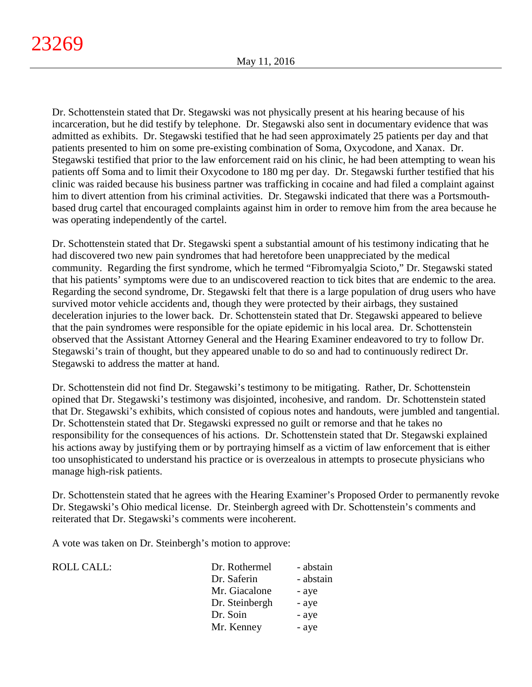Dr. Schottenstein stated that Dr. Stegawski was not physically present at his hearing because of his incarceration, but he did testify by telephone. Dr. Stegawski also sent in documentary evidence that was admitted as exhibits. Dr. Stegawski testified that he had seen approximately 25 patients per day and that patients presented to him on some pre-existing combination of Soma, Oxycodone, and Xanax. Dr. Stegawski testified that prior to the law enforcement raid on his clinic, he had been attempting to wean his patients off Soma and to limit their Oxycodone to 180 mg per day. Dr. Stegawski further testified that his clinic was raided because his business partner was trafficking in cocaine and had filed a complaint against him to divert attention from his criminal activities. Dr. Stegawski indicated that there was a Portsmouthbased drug cartel that encouraged complaints against him in order to remove him from the area because he was operating independently of the cartel.

Dr. Schottenstein stated that Dr. Stegawski spent a substantial amount of his testimony indicating that he had discovered two new pain syndromes that had heretofore been unappreciated by the medical community. Regarding the first syndrome, which he termed "Fibromyalgia Scioto," Dr. Stegawski stated that his patients' symptoms were due to an undiscovered reaction to tick bites that are endemic to the area. Regarding the second syndrome, Dr. Stegawski felt that there is a large population of drug users who have survived motor vehicle accidents and, though they were protected by their airbags, they sustained deceleration injuries to the lower back. Dr. Schottenstein stated that Dr. Stegawski appeared to believe that the pain syndromes were responsible for the opiate epidemic in his local area. Dr. Schottenstein observed that the Assistant Attorney General and the Hearing Examiner endeavored to try to follow Dr. Stegawski's train of thought, but they appeared unable to do so and had to continuously redirect Dr. Stegawski to address the matter at hand.

Dr. Schottenstein did not find Dr. Stegawski's testimony to be mitigating. Rather, Dr. Schottenstein opined that Dr. Stegawski's testimony was disjointed, incohesive, and random. Dr. Schottenstein stated that Dr. Stegawski's exhibits, which consisted of copious notes and handouts, were jumbled and tangential. Dr. Schottenstein stated that Dr. Stegawski expressed no guilt or remorse and that he takes no responsibility for the consequences of his actions. Dr. Schottenstein stated that Dr. Stegawski explained his actions away by justifying them or by portraying himself as a victim of law enforcement that is either too unsophisticated to understand his practice or is overzealous in attempts to prosecute physicians who manage high-risk patients.

Dr. Schottenstein stated that he agrees with the Hearing Examiner's Proposed Order to permanently revoke Dr. Stegawski's Ohio medical license. Dr. Steinbergh agreed with Dr. Schottenstein's comments and reiterated that Dr. Stegawski's comments were incoherent.

A vote was taken on Dr. Steinbergh's motion to approve:

| <b>ROLL CALL:</b> | Dr. Rothermel  | - abstain |
|-------------------|----------------|-----------|
|                   | Dr. Saferin    | - abstain |
|                   | Mr. Giacalone  | - aye     |
|                   | Dr. Steinbergh | - aye     |
|                   | Dr. Soin       | - aye     |
|                   | Mr. Kenney     | - aye     |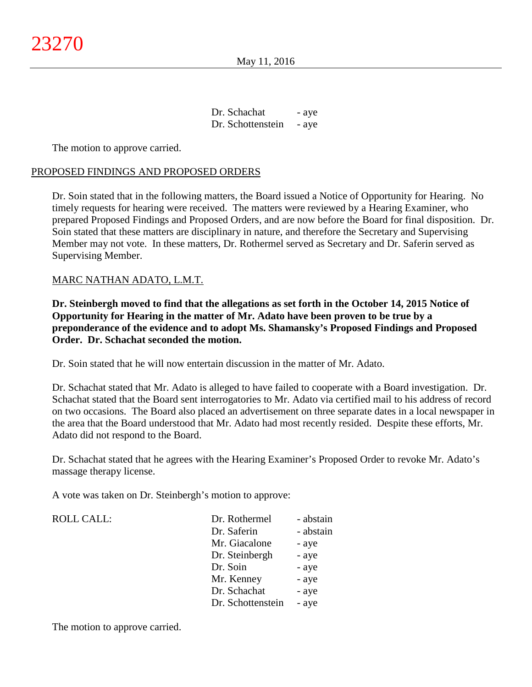| Dr. Schachat      | - aye |
|-------------------|-------|
| Dr. Schottenstein | - aye |

The motion to approve carried.

### PROPOSED FINDINGS AND PROPOSED ORDERS

Dr. Soin stated that in the following matters, the Board issued a Notice of Opportunity for Hearing. No timely requests for hearing were received. The matters were reviewed by a Hearing Examiner, who prepared Proposed Findings and Proposed Orders, and are now before the Board for final disposition. Dr. Soin stated that these matters are disciplinary in nature, and therefore the Secretary and Supervising Member may not vote. In these matters, Dr. Rothermel served as Secretary and Dr. Saferin served as Supervising Member.

### MARC NATHAN ADATO, L.M.T.

**Dr. Steinbergh moved to find that the allegations as set forth in the October 14, 2015 Notice of Opportunity for Hearing in the matter of Mr. Adato have been proven to be true by a preponderance of the evidence and to adopt Ms. Shamansky's Proposed Findings and Proposed Order. Dr. Schachat seconded the motion.**

Dr. Soin stated that he will now entertain discussion in the matter of Mr. Adato.

Dr. Schachat stated that Mr. Adato is alleged to have failed to cooperate with a Board investigation. Dr. Schachat stated that the Board sent interrogatories to Mr. Adato via certified mail to his address of record on two occasions. The Board also placed an advertisement on three separate dates in a local newspaper in the area that the Board understood that Mr. Adato had most recently resided. Despite these efforts, Mr. Adato did not respond to the Board.

Dr. Schachat stated that he agrees with the Hearing Examiner's Proposed Order to revoke Mr. Adato's massage therapy license.

A vote was taken on Dr. Steinbergh's motion to approve:

| Dr. Rothermel     | - abstain |
|-------------------|-----------|
| Dr. Saferin       | - abstain |
| Mr. Giacalone     | - aye     |
| Dr. Steinbergh    | - aye     |
| Dr. Soin          | - aye     |
| Mr. Kenney        | - aye     |
| Dr. Schachat      | - aye     |
| Dr. Schottenstein | - aye     |

The motion to approve carried.

ROLL CALL: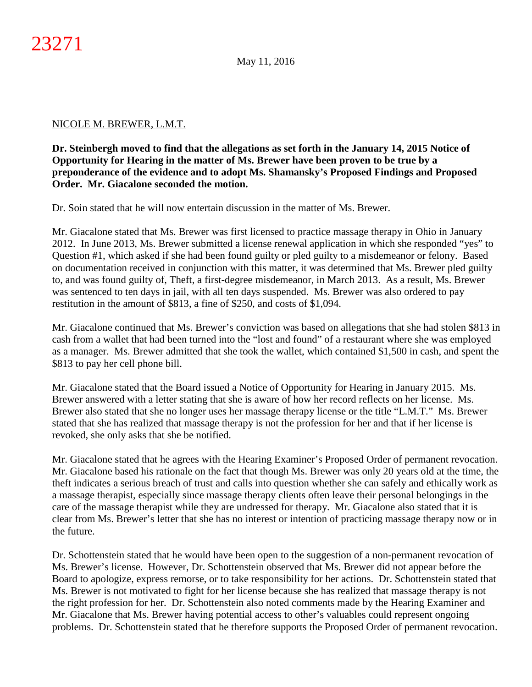### NICOLE M. BREWER, L.M.T.

**Dr. Steinbergh moved to find that the allegations as set forth in the January 14, 2015 Notice of Opportunity for Hearing in the matter of Ms. Brewer have been proven to be true by a preponderance of the evidence and to adopt Ms. Shamansky's Proposed Findings and Proposed Order. Mr. Giacalone seconded the motion.**

Dr. Soin stated that he will now entertain discussion in the matter of Ms. Brewer.

Mr. Giacalone stated that Ms. Brewer was first licensed to practice massage therapy in Ohio in January 2012. In June 2013, Ms. Brewer submitted a license renewal application in which she responded "yes" to Question #1, which asked if she had been found guilty or pled guilty to a misdemeanor or felony. Based on documentation received in conjunction with this matter, it was determined that Ms. Brewer pled guilty to, and was found guilty of, Theft, a first-degree misdemeanor, in March 2013. As a result, Ms. Brewer was sentenced to ten days in jail, with all ten days suspended. Ms. Brewer was also ordered to pay restitution in the amount of \$813, a fine of \$250, and costs of \$1,094.

Mr. Giacalone continued that Ms. Brewer's conviction was based on allegations that she had stolen \$813 in cash from a wallet that had been turned into the "lost and found" of a restaurant where she was employed as a manager. Ms. Brewer admitted that she took the wallet, which contained \$1,500 in cash, and spent the \$813 to pay her cell phone bill.

Mr. Giacalone stated that the Board issued a Notice of Opportunity for Hearing in January 2015. Ms. Brewer answered with a letter stating that she is aware of how her record reflects on her license. Ms. Brewer also stated that she no longer uses her massage therapy license or the title "L.M.T." Ms. Brewer stated that she has realized that massage therapy is not the profession for her and that if her license is revoked, she only asks that she be notified.

Mr. Giacalone stated that he agrees with the Hearing Examiner's Proposed Order of permanent revocation. Mr. Giacalone based his rationale on the fact that though Ms. Brewer was only 20 years old at the time, the theft indicates a serious breach of trust and calls into question whether she can safely and ethically work as a massage therapist, especially since massage therapy clients often leave their personal belongings in the care of the massage therapist while they are undressed for therapy. Mr. Giacalone also stated that it is clear from Ms. Brewer's letter that she has no interest or intention of practicing massage therapy now or in the future.

Dr. Schottenstein stated that he would have been open to the suggestion of a non-permanent revocation of Ms. Brewer's license. However, Dr. Schottenstein observed that Ms. Brewer did not appear before the Board to apologize, express remorse, or to take responsibility for her actions. Dr. Schottenstein stated that Ms. Brewer is not motivated to fight for her license because she has realized that massage therapy is not the right profession for her. Dr. Schottenstein also noted comments made by the Hearing Examiner and Mr. Giacalone that Ms. Brewer having potential access to other's valuables could represent ongoing problems. Dr. Schottenstein stated that he therefore supports the Proposed Order of permanent revocation.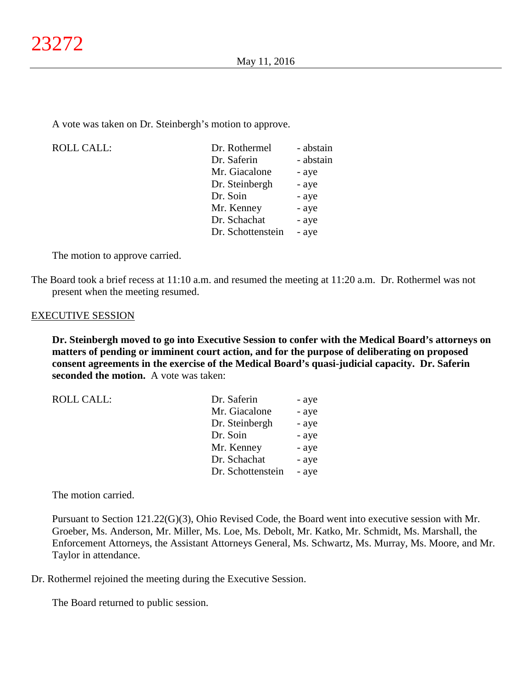A vote was taken on Dr. Steinbergh's motion to approve.

| <b>ROLL CALL:</b> | Dr. Rothermel     | - abstain |
|-------------------|-------------------|-----------|
|                   | Dr. Saferin       | - abstain |
|                   | Mr. Giacalone     | - aye     |
|                   | Dr. Steinbergh    | - aye     |
|                   | Dr. Soin          | - aye     |
|                   | Mr. Kenney        | - aye     |
|                   | Dr. Schachat      | - aye     |
|                   | Dr. Schottenstein | - aye     |
|                   |                   |           |

The motion to approve carried.

The Board took a brief recess at 11:10 a.m. and resumed the meeting at 11:20 a.m. Dr. Rothermel was not present when the meeting resumed.

#### EXECUTIVE SESSION

**Dr. Steinbergh moved to go into Executive Session to confer with the Medical Board's attorneys on matters of pending or imminent court action, and for the purpose of deliberating on proposed consent agreements in the exercise of the Medical Board's quasi-judicial capacity. Dr. Saferin seconded the motion.** A vote was taken:

| <b>ROLL CALL:</b> | Dr. Saferin       | - aye |
|-------------------|-------------------|-------|
|                   | Mr. Giacalone     | - aye |
|                   | Dr. Steinbergh    | - aye |
|                   | Dr. Soin          | - aye |
|                   | Mr. Kenney        | - aye |
|                   | Dr. Schachat      | - aye |
|                   | Dr. Schottenstein | - aye |

The motion carried.

Pursuant to Section 121.22(G)(3), Ohio Revised Code, the Board went into executive session with Mr. Groeber, Ms. Anderson, Mr. Miller, Ms. Loe, Ms. Debolt, Mr. Katko, Mr. Schmidt, Ms. Marshall, the Enforcement Attorneys, the Assistant Attorneys General, Ms. Schwartz, Ms. Murray, Ms. Moore, and Mr. Taylor in attendance.

Dr. Rothermel rejoined the meeting during the Executive Session.

The Board returned to public session.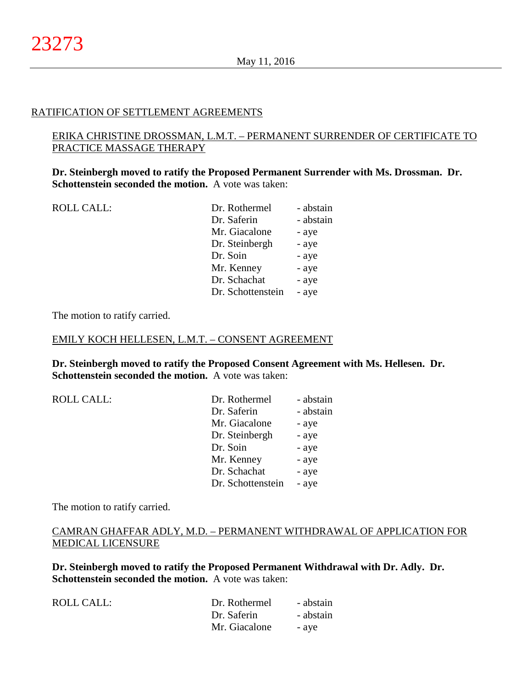### RATIFICATION OF SETTLEMENT AGREEMENTS

### ERIKA CHRISTINE DROSSMAN, L.M.T. – PERMANENT SURRENDER OF CERTIFICATE TO PRACTICE MASSAGE THERAPY

**Dr. Steinbergh moved to ratify the Proposed Permanent Surrender with Ms. Drossman. Dr. Schottenstein seconded the motion.** A vote was taken:

| <b>ROLL CALL:</b> | Dr. Rothermel     | - abstain |
|-------------------|-------------------|-----------|
|                   | Dr. Saferin       | - abstain |
|                   | Mr. Giacalone     | - aye     |
|                   | Dr. Steinbergh    | - aye     |
|                   | Dr. Soin          | - aye     |
|                   | Mr. Kenney        | - aye     |
|                   | Dr. Schachat      | - aye     |
|                   | Dr. Schottenstein | - aye     |
|                   |                   |           |

The motion to ratify carried.

#### EMILY KOCH HELLESEN, L.M.T. – CONSENT AGREEMENT

**Dr. Steinbergh moved to ratify the Proposed Consent Agreement with Ms. Hellesen. Dr. Schottenstein seconded the motion.** A vote was taken:

| <b>ROLL CALL:</b> | Dr. Rothermel     | - abstain |
|-------------------|-------------------|-----------|
|                   | Dr. Saferin       | - abstain |
|                   | Mr. Giacalone     | - aye     |
|                   | Dr. Steinbergh    | - aye     |
|                   | Dr. Soin          | - aye     |
|                   | Mr. Kenney        | - aye     |
|                   | Dr. Schachat      | - aye     |
|                   | Dr. Schottenstein | - aye     |
|                   |                   |           |

The motion to ratify carried.

# CAMRAN GHAFFAR ADLY, M.D. – PERMANENT WITHDRAWAL OF APPLICATION FOR MEDICAL LICENSURE

**Dr. Steinbergh moved to ratify the Proposed Permanent Withdrawal with Dr. Adly. Dr. Schottenstein seconded the motion.** A vote was taken:

| ROLL CALL: | Dr. Rothermel | - abstain |
|------------|---------------|-----------|
|            | Dr. Saferin   | - abstain |
|            | Mr. Giacalone | - ave     |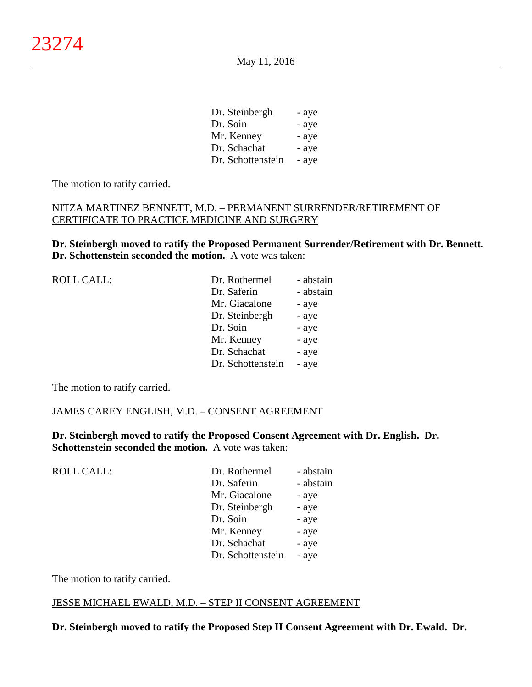| Dr. Steinbergh    | - aye |
|-------------------|-------|
| Dr. Soin          | - aye |
| Mr. Kenney        | - aye |
| Dr. Schachat      | - aye |
| Dr. Schottenstein | - aye |

The motion to ratify carried.

### NITZA MARTINEZ BENNETT, M.D. – PERMANENT SURRENDER/RETIREMENT OF CERTIFICATE TO PRACTICE MEDICINE AND SURGERY

**Dr. Steinbergh moved to ratify the Proposed Permanent Surrender/Retirement with Dr. Bennett. Dr. Schottenstein seconded the motion.** A vote was taken:

| <b>ROLL CALL:</b> | Dr. Rothermel     | - abstain |
|-------------------|-------------------|-----------|
|                   | Dr. Saferin       | - abstain |
|                   | Mr. Giacalone     | - aye     |
|                   | Dr. Steinbergh    | - aye     |
|                   | Dr. Soin          | - aye     |
|                   | Mr. Kenney        | - aye     |
|                   | Dr. Schachat      | - aye     |
|                   | Dr. Schottenstein | - aye     |
|                   |                   |           |

The motion to ratify carried.

### JAMES CAREY ENGLISH, M.D. – CONSENT AGREEMENT

**Dr. Steinbergh moved to ratify the Proposed Consent Agreement with Dr. English. Dr. Schottenstein seconded the motion.** A vote was taken:

| <b>ROLL CALL:</b> | Dr. Rothermel     | - abstain |
|-------------------|-------------------|-----------|
|                   | Dr. Saferin       | - abstain |
|                   | Mr. Giacalone     | - aye     |
|                   | Dr. Steinbergh    | - aye     |
|                   | Dr. Soin          | - aye     |
|                   | Mr. Kenney        | - aye     |
|                   | Dr. Schachat      | - aye     |
|                   | Dr. Schottenstein | - aye     |
|                   |                   |           |

The motion to ratify carried.

### JESSE MICHAEL EWALD, M.D. – STEP II CONSENT AGREEMENT

**Dr. Steinbergh moved to ratify the Proposed Step II Consent Agreement with Dr. Ewald. Dr.**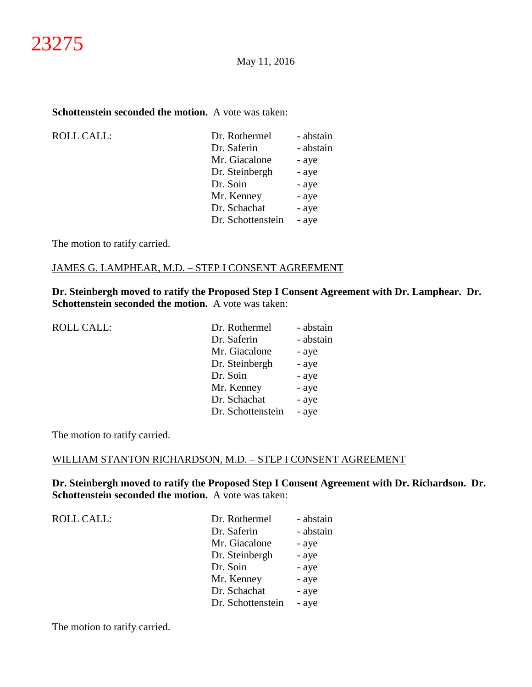### **Schottenstein seconded the motion.** A vote was taken:

| <b>ROLL CALL:</b> |
|-------------------|
|                   |

| <b>ROLL CALL:</b> | Dr. Rothermel     | - abstain |
|-------------------|-------------------|-----------|
|                   | Dr. Saferin       | - abstain |
|                   | Mr. Giacalone     | - aye     |
|                   | Dr. Steinbergh    | - aye     |
|                   | Dr. Soin          | - aye     |
|                   | Mr. Kenney        | - aye     |
|                   | Dr. Schachat      | - aye     |
|                   | Dr. Schottenstein | - aye     |
|                   |                   |           |

The motion to ratify carried.

### JAMES G. LAMPHEAR, M.D. – STEP I CONSENT AGREEMENT

**Dr. Steinbergh moved to ratify the Proposed Step I Consent Agreement with Dr. Lamphear. Dr. Schottenstein seconded the motion.** A vote was taken:

| <b>ROLL CALL:</b> |
|-------------------|
|-------------------|

| <b>ROLL CALL:</b> | Dr. Rothermel     | - abstain |
|-------------------|-------------------|-----------|
|                   | Dr. Saferin       | - abstain |
|                   | Mr. Giacalone     | - aye     |
|                   | Dr. Steinbergh    | - aye     |
|                   | Dr. Soin          | - aye     |
|                   | Mr. Kenney        | - aye     |
|                   | Dr. Schachat      | - aye     |
|                   | Dr. Schottenstein | - aye     |
|                   |                   |           |

The motion to ratify carried.

### WILLIAM STANTON RICHARDSON, M.D. – STEP I CONSENT AGREEMENT

**Dr. Steinbergh moved to ratify the Proposed Step I Consent Agreement with Dr. Richardson. Dr. Schottenstein seconded the motion.** A vote was taken:

ROLL CALL:

| Dr. Rothermel     | - abstain |
|-------------------|-----------|
| Dr. Saferin       | - abstain |
| Mr. Giacalone     | - aye     |
| Dr. Steinbergh    | - aye     |
| Dr. Soin          | - aye     |
| Mr. Kenney        | - aye     |
| Dr. Schachat      | - aye     |
| Dr. Schottenstein | - aye     |

The motion to ratify carried.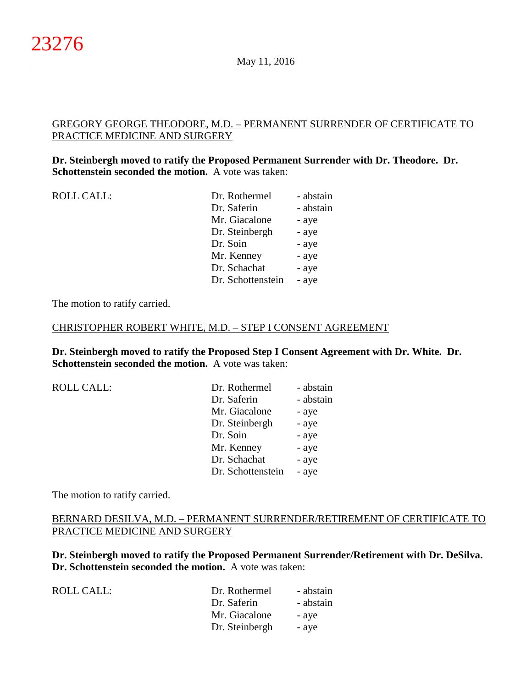### GREGORY GEORGE THEODORE, M.D. – PERMANENT SURRENDER OF CERTIFICATE TO PRACTICE MEDICINE AND SURGERY

### **Dr. Steinbergh moved to ratify the Proposed Permanent Surrender with Dr. Theodore. Dr. Schottenstein seconded the motion.** A vote was taken:

| ROLL CALL: | Dr. Rothermel     | - abstain |
|------------|-------------------|-----------|
|            | Dr. Saferin       | - abstain |
|            | Mr. Giacalone     | - aye     |
|            | Dr. Steinbergh    | - aye     |
|            | Dr. Soin          | - aye     |
|            | Mr. Kenney        | - aye     |
|            | Dr. Schachat      | - aye     |
|            | Dr. Schottenstein | - aye     |
|            |                   |           |

The motion to ratify carried.

### CHRISTOPHER ROBERT WHITE, M.D. – STEP I CONSENT AGREEMENT

**Dr. Steinbergh moved to ratify the Proposed Step I Consent Agreement with Dr. White. Dr. Schottenstein seconded the motion.** A vote was taken:

| <b>ROLL CALL:</b> |  |
|-------------------|--|
|                   |  |

| Dr. Saferin<br>Mr. Giacalone<br>Dr. Steinbergh<br>Dr. Soin<br>Mr. Kenney<br>Dr. Schachat<br>Dr. Schottenstein | <b>ROLL CALL:</b> | Dr. Rothermel | - abstain |
|---------------------------------------------------------------------------------------------------------------|-------------------|---------------|-----------|
|                                                                                                               |                   |               | - abstain |
|                                                                                                               |                   |               | - aye     |
|                                                                                                               |                   |               | - aye     |
|                                                                                                               |                   |               | - aye     |
|                                                                                                               |                   |               | - aye     |
|                                                                                                               |                   |               | - aye     |
|                                                                                                               |                   |               | - aye     |

The motion to ratify carried.

# BERNARD DESILVA, M.D. – PERMANENT SURRENDER/RETIREMENT OF CERTIFICATE TO PRACTICE MEDICINE AND SURGERY

**Dr. Steinbergh moved to ratify the Proposed Permanent Surrender/Retirement with Dr. DeSilva. Dr. Schottenstein seconded the motion.** A vote was taken:

| <b>ROLL CALL:</b> | Dr. Rothermel  | - abstain |
|-------------------|----------------|-----------|
|                   | Dr. Saferin    | - abstain |
|                   | Mr. Giacalone  | - ave     |
|                   | Dr. Steinbergh | - ave     |
|                   |                |           |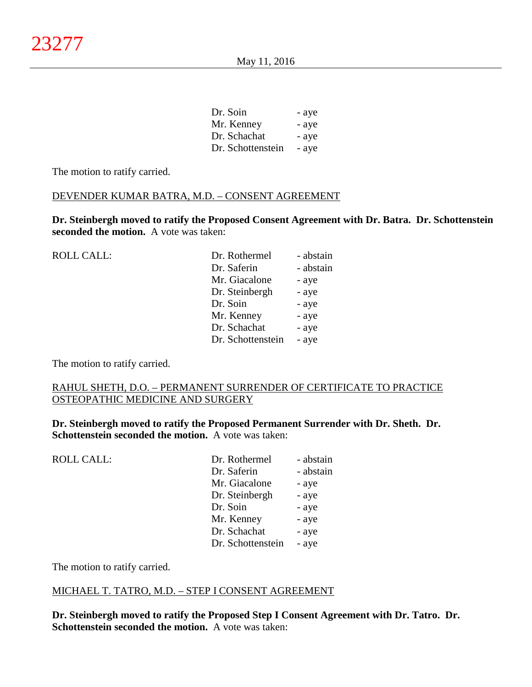Dr. Soin - aye Mr. Kenney - aye Dr. Schachat - aye Dr. Schottenstein - aye

The motion to ratify carried.

### DEVENDER KUMAR BATRA, M.D. – CONSENT AGREEMENT

**Dr. Steinbergh moved to ratify the Proposed Consent Agreement with Dr. Batra. Dr. Schottenstein seconded the motion.** A vote was taken:

| <b>ROLL CALL:</b> | Dr. Rothermel     | - abstain |
|-------------------|-------------------|-----------|
|                   | Dr. Saferin       | - abstain |
|                   | Mr. Giacalone     | - aye     |
|                   | Dr. Steinbergh    | - aye     |
|                   | Dr. Soin          | - aye     |
|                   | Mr. Kenney        | - aye     |
|                   | Dr. Schachat      | - aye     |
|                   | Dr. Schottenstein | - aye     |
|                   |                   |           |

The motion to ratify carried.

### RAHUL SHETH, D.O. – PERMANENT SURRENDER OF CERTIFICATE TO PRACTICE OSTEOPATHIC MEDICINE AND SURGERY

**Dr. Steinbergh moved to ratify the Proposed Permanent Surrender with Dr. Sheth. Dr. Schottenstein seconded the motion.** A vote was taken:

| ROLL CALL: | Dr. Rothermel     | - abstain |
|------------|-------------------|-----------|
|            | Dr. Saferin       | - abstain |
|            | Mr. Giacalone     | - aye     |
|            | Dr. Steinbergh    | - aye     |
|            | Dr. Soin          | - aye     |
|            | Mr. Kenney        | - aye     |
|            | Dr. Schachat      | - aye     |
|            | Dr. Schottenstein | - aye     |
|            |                   |           |

The motion to ratify carried.

#### MICHAEL T. TATRO, M.D. – STEP I CONSENT AGREEMENT

**Dr. Steinbergh moved to ratify the Proposed Step I Consent Agreement with Dr. Tatro. Dr. Schottenstein seconded the motion.** A vote was taken: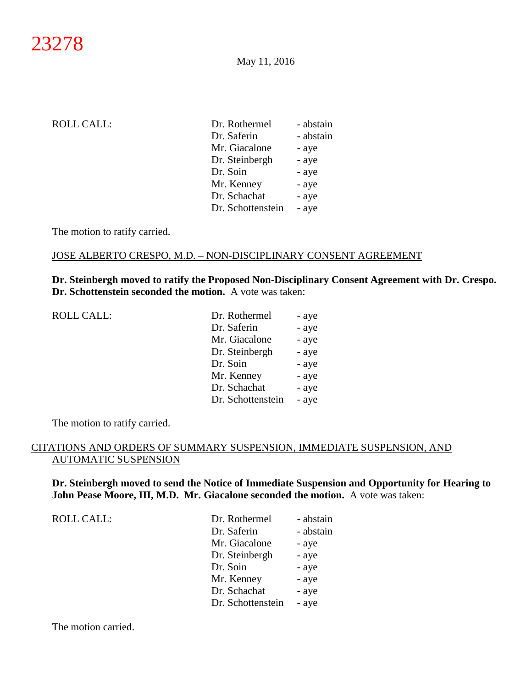| <b>ROLL CALL:</b> | Dr. Rothermel     | - abstain |
|-------------------|-------------------|-----------|
|                   | Dr. Saferin       | - abstain |
|                   | Mr. Giacalone     | - aye     |
|                   | Dr. Steinbergh    | - aye     |
|                   | Dr. Soin          | - aye     |
|                   | Mr. Kenney        | - aye     |
|                   | Dr. Schachat      | - aye     |
|                   | Dr. Schottenstein | - aye     |
|                   |                   |           |

The motion to ratify carried.

#### JOSE ALBERTO CRESPO, M.D. – NON-DISCIPLINARY CONSENT AGREEMENT

**Dr. Steinbergh moved to ratify the Proposed Non-Disciplinary Consent Agreement with Dr. Crespo. Dr. Schottenstein seconded the motion.** A vote was taken:

ROLL CALL:

| Dr. Rothermel     | - aye |
|-------------------|-------|
| Dr. Saferin       | - aye |
| Mr. Giacalone     | - aye |
| Dr. Steinbergh    | - aye |
| Dr. Soin          | - aye |
| Mr. Kenney        | - aye |
| Dr. Schachat      | - aye |
| Dr. Schottenstein | - aye |

The motion to ratify carried.

### CITATIONS AND ORDERS OF SUMMARY SUSPENSION, IMMEDIATE SUSPENSION, AND AUTOMATIC SUSPENSION

**Dr. Steinbergh moved to send the Notice of Immediate Suspension and Opportunity for Hearing to John Pease Moore, III, M.D. Mr. Giacalone seconded the motion.** A vote was taken:

ROLL CALL:

| - abstain |
|-----------|
| - abstain |
| - aye     |
| - aye     |
| - aye     |
| - aye     |
| - aye     |
| - aye     |
|           |

The motion carried.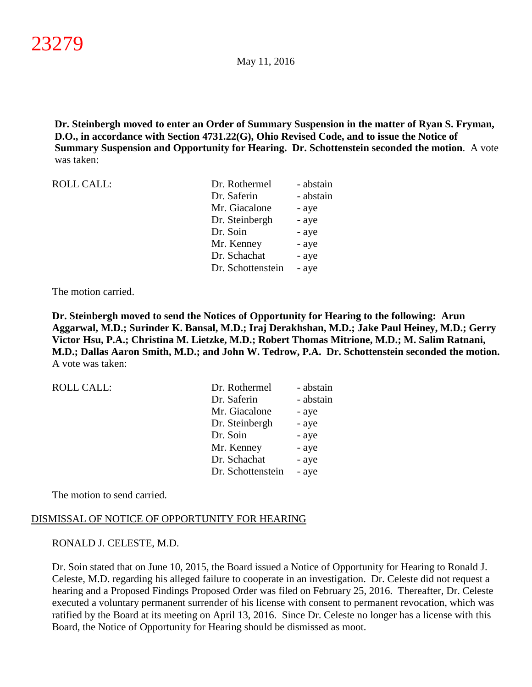**Dr. Steinbergh moved to enter an Order of Summary Suspension in the matter of Ryan S. Fryman, D.O., in accordance with Section 4731.22(G), Ohio Revised Code, and to issue the Notice of Summary Suspension and Opportunity for Hearing. Dr. Schottenstein seconded the motion**. A vote was taken:

| <b>ROLL CALL:</b> | Dr. Rothermel     | - abstain |
|-------------------|-------------------|-----------|
|                   | Dr. Saferin       | - abstain |
|                   | Mr. Giacalone     | - aye     |
|                   | Dr. Steinbergh    | - aye     |
|                   | Dr. Soin          | - aye     |
|                   | Mr. Kenney        | - aye     |
|                   | Dr. Schachat      | - aye     |
|                   | Dr. Schottenstein | - aye     |

The motion carried.

**Dr. Steinbergh moved to send the Notices of Opportunity for Hearing to the following: Arun Aggarwal, M.D.; Surinder K. Bansal, M.D.; Iraj Derakhshan, M.D.; Jake Paul Heiney, M.D.; Gerry Victor Hsu, P.A.; Christina M. Lietzke, M.D.; Robert Thomas Mitrione, M.D.; M. Salim Ratnani, M.D.; Dallas Aaron Smith, M.D.; and John W. Tedrow, P.A. Dr. Schottenstein seconded the motion.** A vote was taken:

| Dr. Rothermel     | - abstain |
|-------------------|-----------|
| Dr. Saferin       | - abstain |
| Mr. Giacalone     | - aye     |
| Dr. Steinbergh    | - aye     |
| Dr. Soin          | - aye     |
| Mr. Kenney        | - aye     |
| Dr. Schachat      | - aye     |
| Dr. Schottenstein | - aye     |
|                   |           |

The motion to send carried.

# DISMISSAL OF NOTICE OF OPPORTUNITY FOR HEARING

# RONALD J. CELESTE, M.D.

Dr. Soin stated that on June 10, 2015, the Board issued a Notice of Opportunity for Hearing to Ronald J. Celeste, M.D. regarding his alleged failure to cooperate in an investigation. Dr. Celeste did not request a hearing and a Proposed Findings Proposed Order was filed on February 25, 2016. Thereafter, Dr. Celeste executed a voluntary permanent surrender of his license with consent to permanent revocation, which was ratified by the Board at its meeting on April 13, 2016. Since Dr. Celeste no longer has a license with this Board, the Notice of Opportunity for Hearing should be dismissed as moot.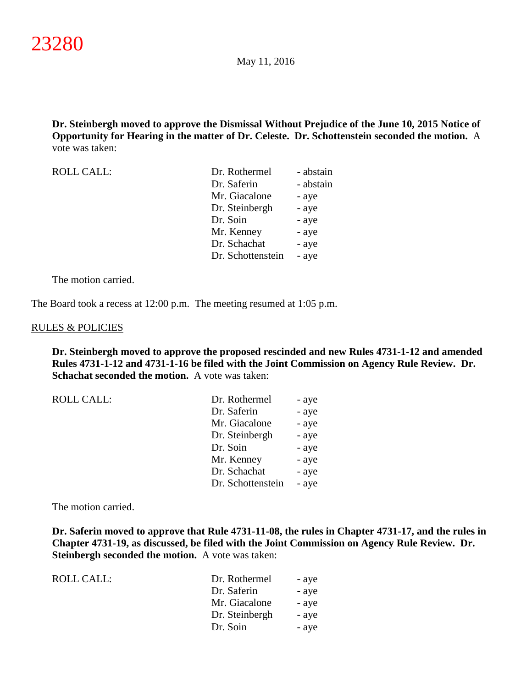**Dr. Steinbergh moved to approve the Dismissal Without Prejudice of the June 10, 2015 Notice of Opportunity for Hearing in the matter of Dr. Celeste. Dr. Schottenstein seconded the motion.** A vote was taken:

| <b>ROLL CALL:</b> | Dr. Rothermel     | - abstain |
|-------------------|-------------------|-----------|
|                   | Dr. Saferin       | - abstain |
|                   | Mr. Giacalone     | - aye     |
|                   | Dr. Steinbergh    | - aye     |
|                   | Dr. Soin          | - aye     |
|                   | Mr. Kenney        | - aye     |
|                   | Dr. Schachat      | - aye     |
|                   | Dr. Schottenstein | - aye     |

The motion carried.

The Board took a recess at 12:00 p.m. The meeting resumed at 1:05 p.m.

#### RULES & POLICIES

**Dr. Steinbergh moved to approve the proposed rescinded and new Rules 4731-1-12 and amended Rules 4731-1-12 and 4731-1-16 be filed with the Joint Commission on Agency Rule Review. Dr. Schachat seconded the motion.** A vote was taken:

| <b>ROLL CALL:</b> | Dr. Rothermel     | - aye |
|-------------------|-------------------|-------|
|                   | Dr. Saferin       | - aye |
|                   | Mr. Giacalone     | - aye |
|                   | Dr. Steinbergh    | - aye |
|                   | Dr. Soin          | - aye |
|                   | Mr. Kenney        | - aye |
|                   | Dr. Schachat      | - aye |
|                   | Dr. Schottenstein | - aye |

The motion carried.

**Dr. Saferin moved to approve that Rule 4731-11-08, the rules in Chapter 4731-17, and the rules in Chapter 4731-19, as discussed, be filed with the Joint Commission on Agency Rule Review. Dr. Steinbergh seconded the motion.** A vote was taken:

| ROLL CALL: | Dr. Rothermel  | - aye |
|------------|----------------|-------|
|            | Dr. Saferin    | - aye |
|            | Mr. Giacalone  | - aye |
|            | Dr. Steinbergh | - aye |
|            | Dr. Soin       | - aye |
|            |                |       |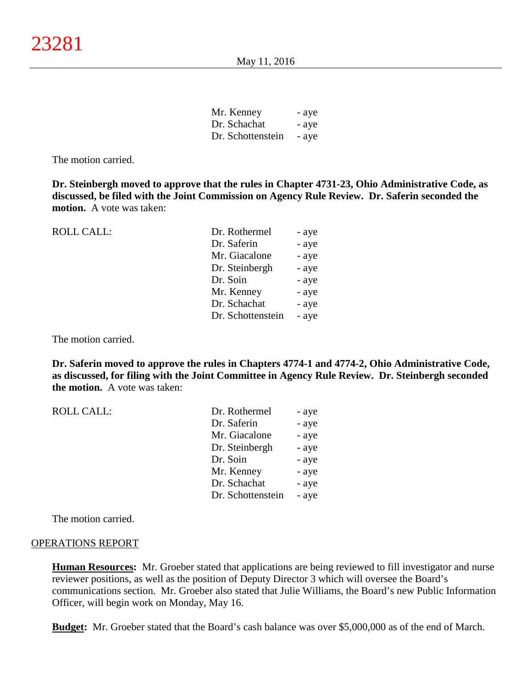| Mr. Kenney        | - aye |
|-------------------|-------|
| Dr. Schachat      | - aye |
| Dr. Schottenstein | - aye |

The motion carried.

**Dr. Steinbergh moved to approve that the rules in Chapter 4731-23, Ohio Administrative Code, as discussed, be filed with the Joint Commission on Agency Rule Review. Dr. Saferin seconded the motion.** A vote was taken:

| <b>ROLL CALL:</b> | Dr. Rothermel     | - aye |
|-------------------|-------------------|-------|
|                   | Dr. Saferin       | - aye |
|                   | Mr. Giacalone     | - aye |
|                   | Dr. Steinbergh    | - aye |
|                   | Dr. Soin          | - aye |
|                   | Mr. Kenney        | - aye |
|                   | Dr. Schachat      | - aye |
|                   | Dr. Schottenstein | - aye |
|                   |                   |       |

The motion carried.

**Dr. Saferin moved to approve the rules in Chapters 4774-1 and 4774-2, Ohio Administrative Code, as discussed, for filing with the Joint Committee in Agency Rule Review. Dr. Steinbergh seconded the motion.** A vote was taken:

| Dr. Rothermel     | - aye |
|-------------------|-------|
| Dr. Saferin       | - aye |
| Mr. Giacalone     | - aye |
| Dr. Steinbergh    | - aye |
| Dr. Soin          | - aye |
| Mr. Kenney        | - aye |
| Dr. Schachat      | - aye |
| Dr. Schottenstein | - aye |
|                   |       |

The motion carried.

#### OPERATIONS REPORT

**Human Resources:** Mr. Groeber stated that applications are being reviewed to fill investigator and nurse reviewer positions, as well as the position of Deputy Director 3 which will oversee the Board's communications section. Mr. Groeber also stated that Julie Williams, the Board's new Public Information Officer, will begin work on Monday, May 16.

**Budget:** Mr. Groeber stated that the Board's cash balance was over \$5,000,000 as of the end of March.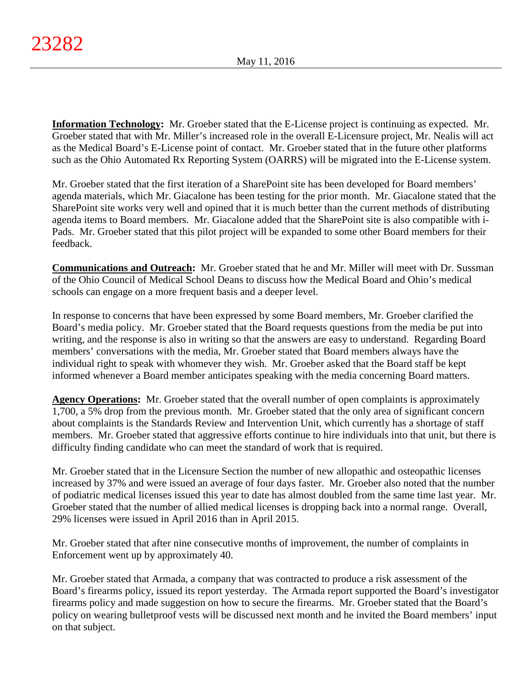**Information Technology:** Mr. Groeber stated that the E-License project is continuing as expected. Mr. Groeber stated that with Mr. Miller's increased role in the overall E-Licensure project, Mr. Nealis will act as the Medical Board's E-License point of contact. Mr. Groeber stated that in the future other platforms such as the Ohio Automated Rx Reporting System (OARRS) will be migrated into the E-License system.

Mr. Groeber stated that the first iteration of a SharePoint site has been developed for Board members' agenda materials, which Mr. Giacalone has been testing for the prior month. Mr. Giacalone stated that the SharePoint site works very well and opined that it is much better than the current methods of distributing agenda items to Board members. Mr. Giacalone added that the SharePoint site is also compatible with i-Pads. Mr. Groeber stated that this pilot project will be expanded to some other Board members for their feedback.

**Communications and Outreach:** Mr. Groeber stated that he and Mr. Miller will meet with Dr. Sussman of the Ohio Council of Medical School Deans to discuss how the Medical Board and Ohio's medical schools can engage on a more frequent basis and a deeper level.

In response to concerns that have been expressed by some Board members, Mr. Groeber clarified the Board's media policy. Mr. Groeber stated that the Board requests questions from the media be put into writing, and the response is also in writing so that the answers are easy to understand. Regarding Board members' conversations with the media, Mr. Groeber stated that Board members always have the individual right to speak with whomever they wish. Mr. Groeber asked that the Board staff be kept informed whenever a Board member anticipates speaking with the media concerning Board matters.

**Agency Operations:** Mr. Groeber stated that the overall number of open complaints is approximately 1,700, a 5% drop from the previous month. Mr. Groeber stated that the only area of significant concern about complaints is the Standards Review and Intervention Unit, which currently has a shortage of staff members. Mr. Groeber stated that aggressive efforts continue to hire individuals into that unit, but there is difficulty finding candidate who can meet the standard of work that is required.

Mr. Groeber stated that in the Licensure Section the number of new allopathic and osteopathic licenses increased by 37% and were issued an average of four days faster. Mr. Groeber also noted that the number of podiatric medical licenses issued this year to date has almost doubled from the same time last year. Mr. Groeber stated that the number of allied medical licenses is dropping back into a normal range. Overall, 29% licenses were issued in April 2016 than in April 2015.

Mr. Groeber stated that after nine consecutive months of improvement, the number of complaints in Enforcement went up by approximately 40.

Mr. Groeber stated that Armada, a company that was contracted to produce a risk assessment of the Board's firearms policy, issued its report yesterday. The Armada report supported the Board's investigator firearms policy and made suggestion on how to secure the firearms. Mr. Groeber stated that the Board's policy on wearing bulletproof vests will be discussed next month and he invited the Board members' input on that subject.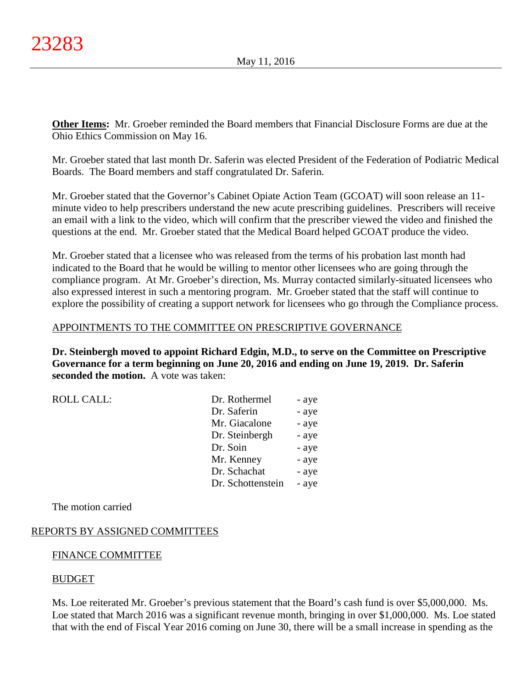**Other Items:** Mr. Groeber reminded the Board members that Financial Disclosure Forms are due at the Ohio Ethics Commission on May 16.

Mr. Groeber stated that last month Dr. Saferin was elected President of the Federation of Podiatric Medical Boards. The Board members and staff congratulated Dr. Saferin.

Mr. Groeber stated that the Governor's Cabinet Opiate Action Team (GCOAT) will soon release an 11 minute video to help prescribers understand the new acute prescribing guidelines. Prescribers will receive an email with a link to the video, which will confirm that the prescriber viewed the video and finished the questions at the end. Mr. Groeber stated that the Medical Board helped GCOAT produce the video.

Mr. Groeber stated that a licensee who was released from the terms of his probation last month had indicated to the Board that he would be willing to mentor other licensees who are going through the compliance program. At Mr. Groeber's direction, Ms. Murray contacted similarly-situated licensees who also expressed interest in such a mentoring program. Mr. Groeber stated that the staff will continue to explore the possibility of creating a support network for licensees who go through the Compliance process.

# APPOINTMENTS TO THE COMMITTEE ON PRESCRIPTIVE GOVERNANCE

**Dr. Steinbergh moved to appoint Richard Edgin, M.D., to serve on the Committee on Prescriptive Governance for a term beginning on June 20, 2016 and ending on June 19, 2019. Dr. Saferin seconded the motion.** A vote was taken:

 $ROLL CALL$ :

| Dr. Rothermel     | - aye |
|-------------------|-------|
| Dr. Saferin       | - aye |
| Mr. Giacalone     | - aye |
| Dr. Steinbergh    | - aye |
| Dr. Soin          | - aye |
| Mr. Kenney        | - aye |
| Dr. Schachat      | - aye |
| Dr. Schottenstein | - aye |
|                   |       |

The motion carried

# REPORTS BY ASSIGNED COMMITTEES

# FINANCE COMMITTEE

# BUDGET

Ms. Loe reiterated Mr. Groeber's previous statement that the Board's cash fund is over \$5,000,000. Ms. Loe stated that March 2016 was a significant revenue month, bringing in over \$1,000,000. Ms. Loe stated that with the end of Fiscal Year 2016 coming on June 30, there will be a small increase in spending as the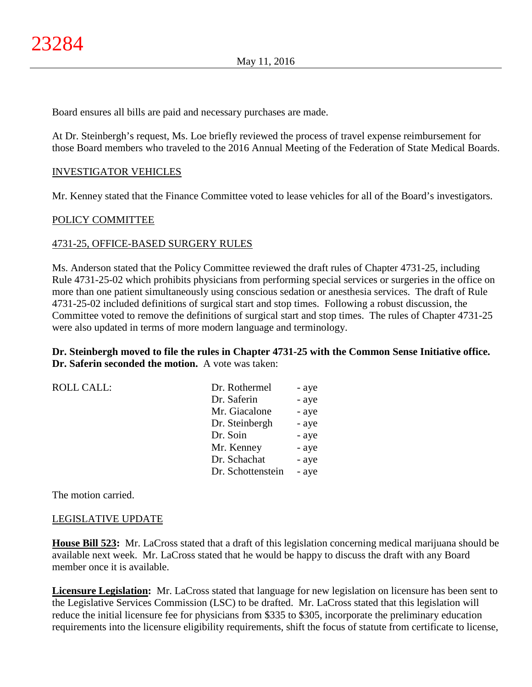Board ensures all bills are paid and necessary purchases are made.

At Dr. Steinbergh's request, Ms. Loe briefly reviewed the process of travel expense reimbursement for those Board members who traveled to the 2016 Annual Meeting of the Federation of State Medical Boards.

### INVESTIGATOR VEHICLES

Mr. Kenney stated that the Finance Committee voted to lease vehicles for all of the Board's investigators.

### POLICY COMMITTEE

### 4731-25, OFFICE-BASED SURGERY RULES

Ms. Anderson stated that the Policy Committee reviewed the draft rules of Chapter 4731-25, including Rule 4731-25-02 which prohibits physicians from performing special services or surgeries in the office on more than one patient simultaneously using conscious sedation or anesthesia services. The draft of Rule 4731-25-02 included definitions of surgical start and stop times. Following a robust discussion, the Committee voted to remove the definitions of surgical start and stop times. The rules of Chapter 4731-25 were also updated in terms of more modern language and terminology.

**Dr. Steinbergh moved to file the rules in Chapter 4731-25 with the Common Sense Initiative office. Dr. Saferin seconded the motion.** A vote was taken:

| <b>ROLL CALL:</b> | Dr. Rothermel     | - aye |
|-------------------|-------------------|-------|
|                   | Dr. Saferin       | - aye |
|                   | Mr. Giacalone     | - aye |
|                   | Dr. Steinbergh    | - aye |
|                   | Dr. Soin          | - aye |
|                   | Mr. Kenney        | - aye |
|                   | Dr. Schachat      | - aye |
|                   | Dr. Schottenstein | - aye |
|                   |                   |       |

The motion carried.

### LEGISLATIVE UPDATE

**House Bill 523:** Mr. LaCross stated that a draft of this legislation concerning medical marijuana should be available next week. Mr. LaCross stated that he would be happy to discuss the draft with any Board member once it is available.

**Licensure Legislation:** Mr. LaCross stated that language for new legislation on licensure has been sent to the Legislative Services Commission (LSC) to be drafted. Mr. LaCross stated that this legislation will reduce the initial licensure fee for physicians from \$335 to \$305, incorporate the preliminary education requirements into the licensure eligibility requirements, shift the focus of statute from certificate to license,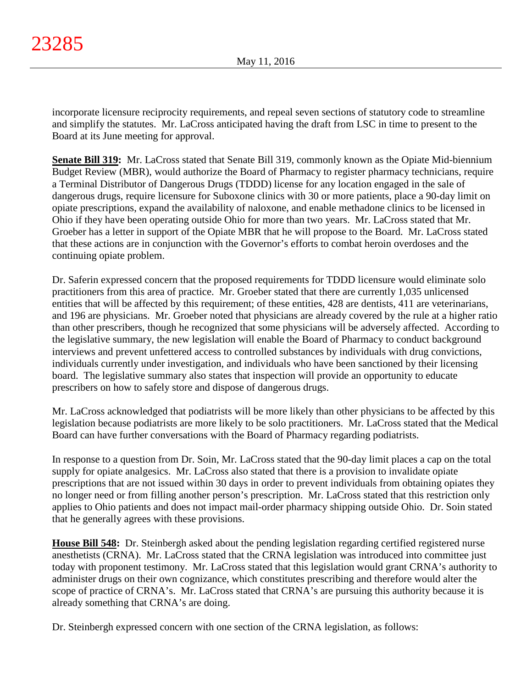incorporate licensure reciprocity requirements, and repeal seven sections of statutory code to streamline and simplify the statutes. Mr. LaCross anticipated having the draft from LSC in time to present to the Board at its June meeting for approval.

**Senate Bill 319:** Mr. LaCross stated that Senate Bill 319, commonly known as the Opiate Mid-biennium Budget Review (MBR), would authorize the Board of Pharmacy to register pharmacy technicians, require a Terminal Distributor of Dangerous Drugs (TDDD) license for any location engaged in the sale of dangerous drugs, require licensure for Suboxone clinics with 30 or more patients, place a 90-day limit on opiate prescriptions, expand the availability of naloxone, and enable methadone clinics to be licensed in Ohio if they have been operating outside Ohio for more than two years. Mr. LaCross stated that Mr. Groeber has a letter in support of the Opiate MBR that he will propose to the Board. Mr. LaCross stated that these actions are in conjunction with the Governor's efforts to combat heroin overdoses and the continuing opiate problem.

Dr. Saferin expressed concern that the proposed requirements for TDDD licensure would eliminate solo practitioners from this area of practice. Mr. Groeber stated that there are currently 1,035 unlicensed entities that will be affected by this requirement; of these entities, 428 are dentists, 411 are veterinarians, and 196 are physicians. Mr. Groeber noted that physicians are already covered by the rule at a higher ratio than other prescribers, though he recognized that some physicians will be adversely affected. According to the legislative summary, the new legislation will enable the Board of Pharmacy to conduct background interviews and prevent unfettered access to controlled substances by individuals with drug convictions, individuals currently under investigation, and individuals who have been sanctioned by their licensing board. The legislative summary also states that inspection will provide an opportunity to educate prescribers on how to safely store and dispose of dangerous drugs.

Mr. LaCross acknowledged that podiatrists will be more likely than other physicians to be affected by this legislation because podiatrists are more likely to be solo practitioners. Mr. LaCross stated that the Medical Board can have further conversations with the Board of Pharmacy regarding podiatrists.

In response to a question from Dr. Soin, Mr. LaCross stated that the 90-day limit places a cap on the total supply for opiate analgesics. Mr. LaCross also stated that there is a provision to invalidate opiate prescriptions that are not issued within 30 days in order to prevent individuals from obtaining opiates they no longer need or from filling another person's prescription. Mr. LaCross stated that this restriction only applies to Ohio patients and does not impact mail-order pharmacy shipping outside Ohio. Dr. Soin stated that he generally agrees with these provisions.

**House Bill 548:** Dr. Steinbergh asked about the pending legislation regarding certified registered nurse anesthetists (CRNA). Mr. LaCross stated that the CRNA legislation was introduced into committee just today with proponent testimony. Mr. LaCross stated that this legislation would grant CRNA's authority to administer drugs on their own cognizance, which constitutes prescribing and therefore would alter the scope of practice of CRNA's. Mr. LaCross stated that CRNA's are pursuing this authority because it is already something that CRNA's are doing.

Dr. Steinbergh expressed concern with one section of the CRNA legislation, as follows: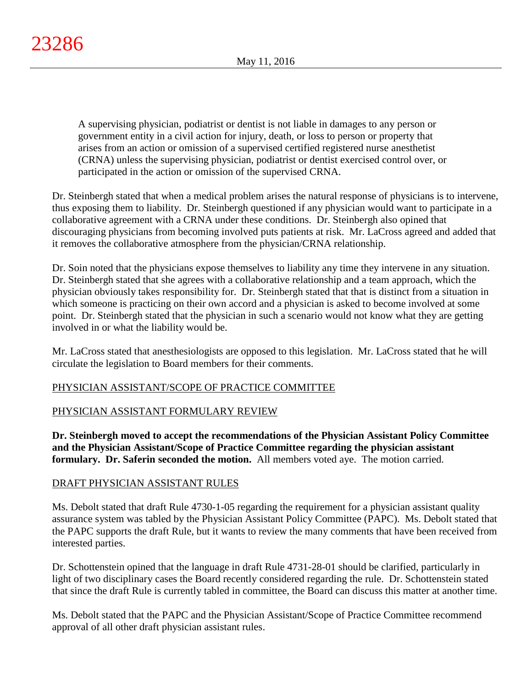A supervising physician, podiatrist or dentist is not liable in damages to any person or government entity in a civil action for injury, death, or loss to person or property that arises from an action or omission of a supervised certified registered nurse anesthetist (CRNA) unless the supervising physician, podiatrist or dentist exercised control over, or participated in the action or omission of the supervised CRNA.

Dr. Steinbergh stated that when a medical problem arises the natural response of physicians is to intervene, thus exposing them to liability. Dr. Steinbergh questioned if any physician would want to participate in a collaborative agreement with a CRNA under these conditions. Dr. Steinbergh also opined that discouraging physicians from becoming involved puts patients at risk. Mr. LaCross agreed and added that it removes the collaborative atmosphere from the physician/CRNA relationship.

Dr. Soin noted that the physicians expose themselves to liability any time they intervene in any situation. Dr. Steinbergh stated that she agrees with a collaborative relationship and a team approach, which the physician obviously takes responsibility for. Dr. Steinbergh stated that that is distinct from a situation in which someone is practicing on their own accord and a physician is asked to become involved at some point. Dr. Steinbergh stated that the physician in such a scenario would not know what they are getting involved in or what the liability would be.

Mr. LaCross stated that anesthesiologists are opposed to this legislation. Mr. LaCross stated that he will circulate the legislation to Board members for their comments.

# PHYSICIAN ASSISTANT/SCOPE OF PRACTICE COMMITTEE

# PHYSICIAN ASSISTANT FORMULARY REVIEW

**Dr. Steinbergh moved to accept the recommendations of the Physician Assistant Policy Committee and the Physician Assistant/Scope of Practice Committee regarding the physician assistant formulary. Dr. Saferin seconded the motion.** All members voted aye. The motion carried.

# DRAFT PHYSICIAN ASSISTANT RULES

Ms. Debolt stated that draft Rule 4730-1-05 regarding the requirement for a physician assistant quality assurance system was tabled by the Physician Assistant Policy Committee (PAPC). Ms. Debolt stated that the PAPC supports the draft Rule, but it wants to review the many comments that have been received from interested parties.

Dr. Schottenstein opined that the language in draft Rule 4731-28-01 should be clarified, particularly in light of two disciplinary cases the Board recently considered regarding the rule. Dr. Schottenstein stated that since the draft Rule is currently tabled in committee, the Board can discuss this matter at another time.

Ms. Debolt stated that the PAPC and the Physician Assistant/Scope of Practice Committee recommend approval of all other draft physician assistant rules.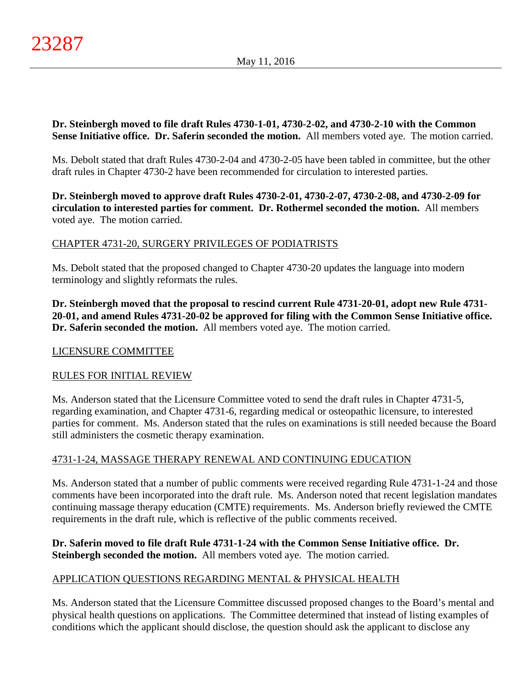**Dr. Steinbergh moved to file draft Rules 4730-1-01, 4730-2-02, and 4730-2-10 with the Common Sense Initiative office. Dr. Saferin seconded the motion.** All members voted aye. The motion carried.

Ms. Debolt stated that draft Rules 4730-2-04 and 4730-2-05 have been tabled in committee, but the other draft rules in Chapter 4730-2 have been recommended for circulation to interested parties.

**Dr. Steinbergh moved to approve draft Rules 4730-2-01, 4730-2-07, 4730-2-08, and 4730-2-09 for circulation to interested parties for comment. Dr. Rothermel seconded the motion.** All members voted aye. The motion carried.

# CHAPTER 4731-20, SURGERY PRIVILEGES OF PODIATRISTS

Ms. Debolt stated that the proposed changed to Chapter 4730-20 updates the language into modern terminology and slightly reformats the rules.

**Dr. Steinbergh moved that the proposal to rescind current Rule 4731-20-01, adopt new Rule 4731- 20-01, and amend Rules 4731-20-02 be approved for filing with the Common Sense Initiative office. Dr. Saferin seconded the motion.** All members voted aye. The motion carried.

### LICENSURE COMMITTEE

# RULES FOR INITIAL REVIEW

Ms. Anderson stated that the Licensure Committee voted to send the draft rules in Chapter 4731-5, regarding examination, and Chapter 4731-6, regarding medical or osteopathic licensure, to interested parties for comment. Ms. Anderson stated that the rules on examinations is still needed because the Board still administers the cosmetic therapy examination.

# 4731-1-24, MASSAGE THERAPY RENEWAL AND CONTINUING EDUCATION

Ms. Anderson stated that a number of public comments were received regarding Rule 4731-1-24 and those comments have been incorporated into the draft rule. Ms. Anderson noted that recent legislation mandates continuing massage therapy education (CMTE) requirements. Ms. Anderson briefly reviewed the CMTE requirements in the draft rule, which is reflective of the public comments received.

# **Dr. Saferin moved to file draft Rule 4731-1-24 with the Common Sense Initiative office. Dr. Steinbergh seconded the motion.** All members voted aye. The motion carried.

# APPLICATION QUESTIONS REGARDING MENTAL & PHYSICAL HEALTH

Ms. Anderson stated that the Licensure Committee discussed proposed changes to the Board's mental and physical health questions on applications. The Committee determined that instead of listing examples of conditions which the applicant should disclose, the question should ask the applicant to disclose any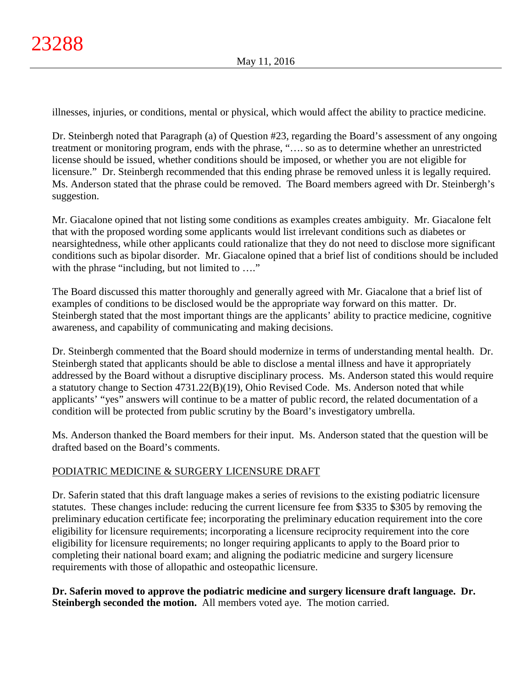illnesses, injuries, or conditions, mental or physical, which would affect the ability to practice medicine.

Dr. Steinbergh noted that Paragraph (a) of Question #23, regarding the Board's assessment of any ongoing treatment or monitoring program, ends with the phrase, "…. so as to determine whether an unrestricted license should be issued, whether conditions should be imposed, or whether you are not eligible for licensure." Dr. Steinbergh recommended that this ending phrase be removed unless it is legally required. Ms. Anderson stated that the phrase could be removed. The Board members agreed with Dr. Steinbergh's suggestion.

Mr. Giacalone opined that not listing some conditions as examples creates ambiguity. Mr. Giacalone felt that with the proposed wording some applicants would list irrelevant conditions such as diabetes or nearsightedness, while other applicants could rationalize that they do not need to disclose more significant conditions such as bipolar disorder. Mr. Giacalone opined that a brief list of conditions should be included with the phrase "including, but not limited to ...."

The Board discussed this matter thoroughly and generally agreed with Mr. Giacalone that a brief list of examples of conditions to be disclosed would be the appropriate way forward on this matter. Dr. Steinbergh stated that the most important things are the applicants' ability to practice medicine, cognitive awareness, and capability of communicating and making decisions.

Dr. Steinbergh commented that the Board should modernize in terms of understanding mental health. Dr. Steinbergh stated that applicants should be able to disclose a mental illness and have it appropriately addressed by the Board without a disruptive disciplinary process. Ms. Anderson stated this would require a statutory change to Section 4731.22(B)(19), Ohio Revised Code. Ms. Anderson noted that while applicants' "yes" answers will continue to be a matter of public record, the related documentation of a condition will be protected from public scrutiny by the Board's investigatory umbrella.

Ms. Anderson thanked the Board members for their input. Ms. Anderson stated that the question will be drafted based on the Board's comments.

# PODIATRIC MEDICINE & SURGERY LICENSURE DRAFT

Dr. Saferin stated that this draft language makes a series of revisions to the existing podiatric licensure statutes. These changes include: reducing the current licensure fee from \$335 to \$305 by removing the preliminary education certificate fee; incorporating the preliminary education requirement into the core eligibility for licensure requirements; incorporating a licensure reciprocity requirement into the core eligibility for licensure requirements; no longer requiring applicants to apply to the Board prior to completing their national board exam; and aligning the podiatric medicine and surgery licensure requirements with those of allopathic and osteopathic licensure.

**Dr. Saferin moved to approve the podiatric medicine and surgery licensure draft language. Dr. Steinbergh seconded the motion.** All members voted aye. The motion carried.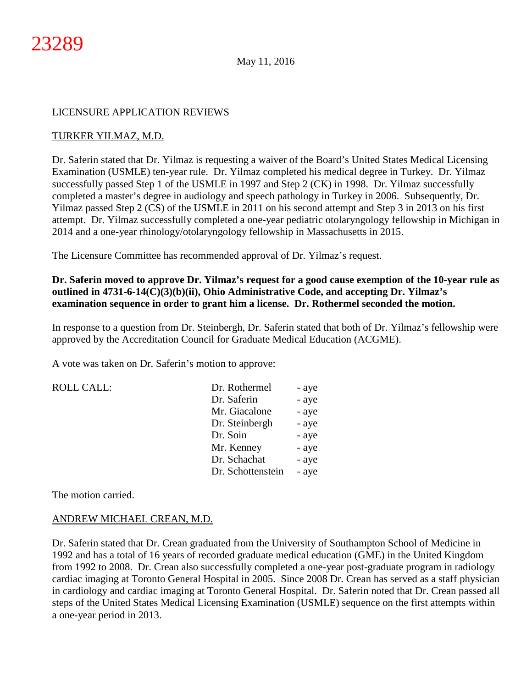### LICENSURE APPLICATION REVIEWS

### TURKER YILMAZ, M.D.

Dr. Saferin stated that Dr. Yilmaz is requesting a waiver of the Board's United States Medical Licensing Examination (USMLE) ten-year rule. Dr. Yilmaz completed his medical degree in Turkey. Dr. Yilmaz successfully passed Step 1 of the USMLE in 1997 and Step 2 (CK) in 1998. Dr. Yilmaz successfully completed a master's degree in audiology and speech pathology in Turkey in 2006. Subsequently, Dr. Yilmaz passed Step 2 (CS) of the USMLE in 2011 on his second attempt and Step 3 in 2013 on his first attempt. Dr. Yilmaz successfully completed a one-year pediatric otolaryngology fellowship in Michigan in 2014 and a one-year rhinology/otolaryngology fellowship in Massachusetts in 2015.

The Licensure Committee has recommended approval of Dr. Yilmaz's request.

## **Dr. Saferin moved to approve Dr. Yilmaz's request for a good cause exemption of the 10-year rule as outlined in 4731-6-14(C)(3)(b)(ii), Ohio Administrative Code, and accepting Dr. Yilmaz's examination sequence in order to grant him a license. Dr. Rothermel seconded the motion.**

In response to a question from Dr. Steinbergh, Dr. Saferin stated that both of Dr. Yilmaz's fellowship were approved by the Accreditation Council for Graduate Medical Education (ACGME).

A vote was taken on Dr. Saferin's motion to approve:

| <b>ROLL CALL:</b> | Dr. Rothermel     | - aye |
|-------------------|-------------------|-------|
|                   | Dr. Saferin       | - aye |
|                   | Mr. Giacalone     | - aye |
|                   | Dr. Steinbergh    | - aye |
|                   | Dr. Soin          | - aye |
|                   | Mr. Kenney        | - aye |
|                   | Dr. Schachat      | - aye |
|                   | Dr. Schottenstein | - aye |
|                   |                   |       |

The motion carried.

### ANDREW MICHAEL CREAN, M.D.

Dr. Saferin stated that Dr. Crean graduated from the University of Southampton School of Medicine in 1992 and has a total of 16 years of recorded graduate medical education (GME) in the United Kingdom from 1992 to 2008. Dr. Crean also successfully completed a one-year post-graduate program in radiology cardiac imaging at Toronto General Hospital in 2005. Since 2008 Dr. Crean has served as a staff physician in cardiology and cardiac imaging at Toronto General Hospital. Dr. Saferin noted that Dr. Crean passed all steps of the United States Medical Licensing Examination (USMLE) sequence on the first attempts within a one-year period in 2013.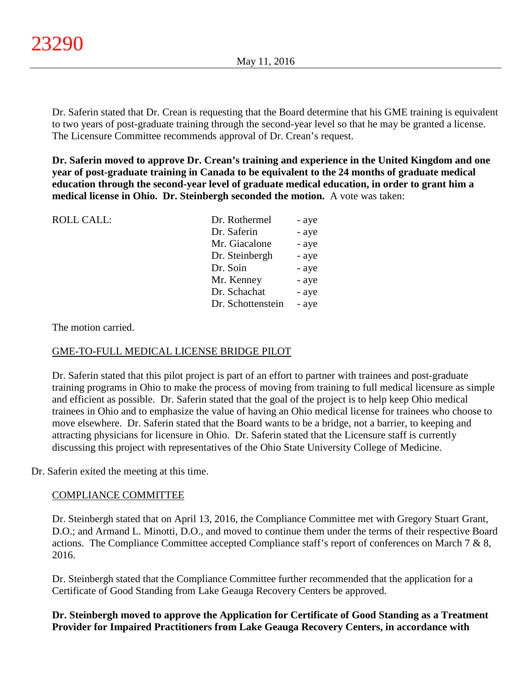Dr. Saferin stated that Dr. Crean is requesting that the Board determine that his GME training is equivalent to two years of post-graduate training through the second-year level so that he may be granted a license. The Licensure Committee recommends approval of Dr. Crean's request.

**Dr. Saferin moved to approve Dr. Crean's training and experience in the United Kingdom and one year of post-graduate training in Canada to be equivalent to the 24 months of graduate medical education through the second-year level of graduate medical education, in order to grant him a medical license in Ohio. Dr. Steinbergh seconded the motion.** A vote was taken:

| <b>ROLL CALL:</b> | Dr. Rothermel     | - aye |
|-------------------|-------------------|-------|
|                   | Dr. Saferin       | - aye |
|                   | Mr. Giacalone     | - aye |
|                   | Dr. Steinbergh    | - aye |
|                   | Dr. Soin          | - aye |
|                   | Mr. Kenney        | - aye |
|                   | Dr. Schachat      | - aye |
|                   | Dr. Schottenstein | - aye |
|                   |                   |       |

The motion carried.

### GME-TO-FULL MEDICAL LICENSE BRIDGE PILOT

Dr. Saferin stated that this pilot project is part of an effort to partner with trainees and post-graduate training programs in Ohio to make the process of moving from training to full medical licensure as simple and efficient as possible. Dr. Saferin stated that the goal of the project is to help keep Ohio medical trainees in Ohio and to emphasize the value of having an Ohio medical license for trainees who choose to move elsewhere. Dr. Saferin stated that the Board wants to be a bridge, not a barrier, to keeping and attracting physicians for licensure in Ohio. Dr. Saferin stated that the Licensure staff is currently discussing this project with representatives of the Ohio State University College of Medicine.

Dr. Saferin exited the meeting at this time.

### COMPLIANCE COMMITTEE

Dr. Steinbergh stated that on April 13, 2016, the Compliance Committee met with Gregory Stuart Grant, D.O.; and Armand L. Minotti, D.O., and moved to continue them under the terms of their respective Board actions. The Compliance Committee accepted Compliance staff's report of conferences on March 7 & 8, 2016.

Dr. Steinbergh stated that the Compliance Committee further recommended that the application for a Certificate of Good Standing from Lake Geauga Recovery Centers be approved.

**Dr. Steinbergh moved to approve the Application for Certificate of Good Standing as a Treatment Provider for Impaired Practitioners from Lake Geauga Recovery Centers, in accordance with**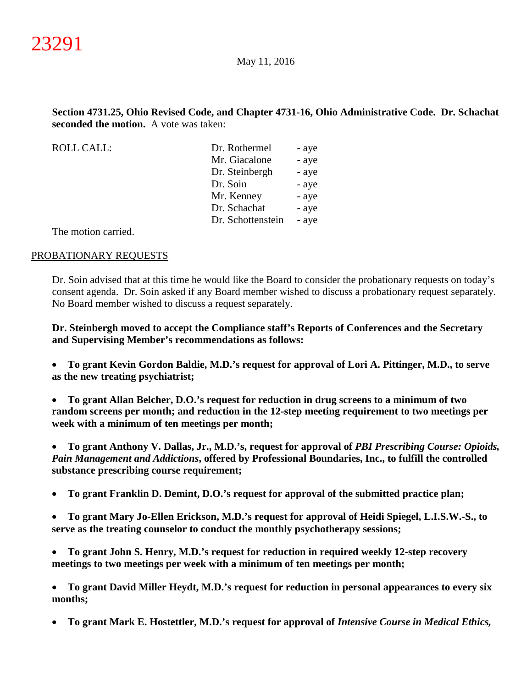# **Section 4731.25, Ohio Revised Code, and Chapter 4731-16, Ohio Administrative Code. Dr. Schachat seconded the motion.** A vote was taken:

ROLL CALL:

| Dr. Rothermel     | - aye |
|-------------------|-------|
| Mr. Giacalone     | - aye |
| Dr. Steinbergh    | - aye |
| Dr. Soin          | - aye |
| Mr. Kenney        | - aye |
| Dr. Schachat      | - aye |
| Dr. Schottenstein | - aye |
|                   |       |

The motion carried.

### PROBATIONARY REQUESTS

Dr. Soin advised that at this time he would like the Board to consider the probationary requests on today's consent agenda. Dr. Soin asked if any Board member wished to discuss a probationary request separately. No Board member wished to discuss a request separately.

**Dr. Steinbergh moved to accept the Compliance staff's Reports of Conferences and the Secretary and Supervising Member's recommendations as follows:**

• **To grant Kevin Gordon Baldie, M.D.'s request for approval of Lori A. Pittinger, M.D., to serve as the new treating psychiatrist;**

• **To grant Allan Belcher, D.O.'s request for reduction in drug screens to a minimum of two random screens per month; and reduction in the 12-step meeting requirement to two meetings per week with a minimum of ten meetings per month;**

• **To grant Anthony V. Dallas, Jr., M.D.'s, request for approval of** *PBI Prescribing Course: Opioids, Pain Management and Addictions***, offered by Professional Boundaries, Inc., to fulfill the controlled substance prescribing course requirement;**

- **To grant Franklin D. Demint, D.O.'s request for approval of the submitted practice plan;**
- **To grant Mary Jo-Ellen Erickson, M.D.'s request for approval of Heidi Spiegel, L.I.S.W.-S., to serve as the treating counselor to conduct the monthly psychotherapy sessions;**
- **To grant John S. Henry, M.D.'s request for reduction in required weekly 12-step recovery meetings to two meetings per week with a minimum of ten meetings per month;**
- **To grant David Miller Heydt, M.D.'s request for reduction in personal appearances to every six months;**
- **To grant Mark E. Hostettler, M.D.'s request for approval of** *Intensive Course in Medical Ethics,*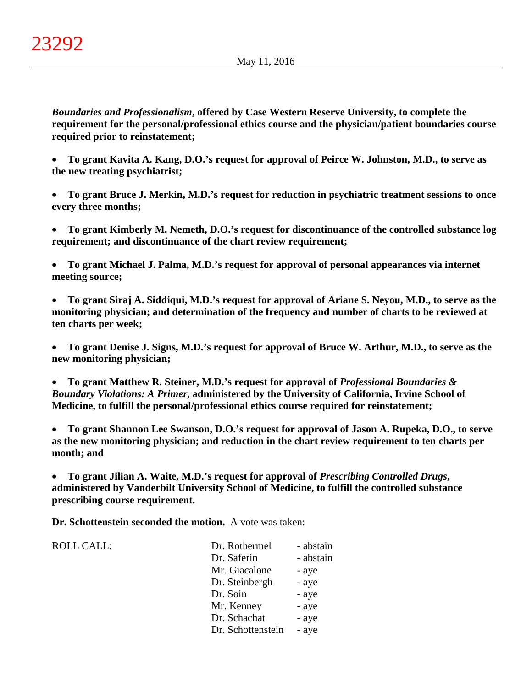*Boundaries and Professionalism***, offered by Case Western Reserve University, to complete the requirement for the personal/professional ethics course and the physician/patient boundaries course required prior to reinstatement;**

• **To grant Kavita A. Kang, D.O.'s request for approval of Peirce W. Johnston, M.D., to serve as the new treating psychiatrist;**

• **To grant Bruce J. Merkin, M.D.'s request for reduction in psychiatric treatment sessions to once every three months;**

• **To grant Kimberly M. Nemeth, D.O.'s request for discontinuance of the controlled substance log requirement; and discontinuance of the chart review requirement;**

• **To grant Michael J. Palma, M.D.'s request for approval of personal appearances via internet meeting source;**

• **To grant Siraj A. Siddiqui, M.D.'s request for approval of Ariane S. Neyou, M.D., to serve as the monitoring physician; and determination of the frequency and number of charts to be reviewed at ten charts per week;**

• **To grant Denise J. Signs, M.D.'s request for approval of Bruce W. Arthur, M.D., to serve as the new monitoring physician;**

• **To grant Matthew R. Steiner, M.D.'s request for approval of** *Professional Boundaries & Boundary Violations: A Primer***, administered by the University of California, Irvine School of Medicine, to fulfill the personal/professional ethics course required for reinstatement;**

• **To grant Shannon Lee Swanson, D.O.'s request for approval of Jason A. Rupeka, D.O., to serve as the new monitoring physician; and reduction in the chart review requirement to ten charts per month; and**

• **To grant Jilian A. Waite, M.D.'s request for approval of** *Prescribing Controlled Drugs***, administered by Vanderbilt University School of Medicine, to fulfill the controlled substance prescribing course requirement.**

**Dr. Schottenstein seconded the motion.** A vote was taken:

ROLL CALL:

| Dr. Rothermel     | - abstain |
|-------------------|-----------|
| Dr. Saferin       | - abstain |
| Mr. Giacalone     | - aye     |
| Dr. Steinbergh    | - aye     |
| Dr. Soin          | - aye     |
| Mr. Kenney        | - aye     |
| Dr. Schachat      | - aye     |
| Dr. Schottenstein | - aye     |
|                   |           |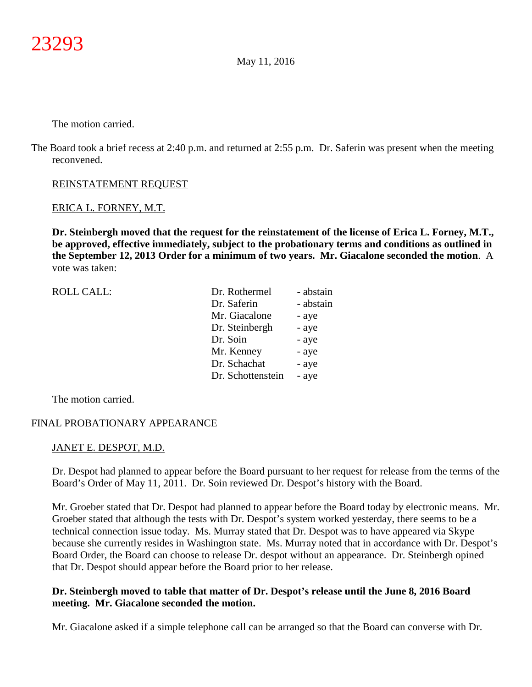The motion carried.

The Board took a brief recess at 2:40 p.m. and returned at 2:55 p.m. Dr. Saferin was present when the meeting reconvened.

### REINSTATEMENT REQUEST

### ERICA L. FORNEY, M.T.

**Dr. Steinbergh moved that the request for the reinstatement of the license of Erica L. Forney, M.T., be approved, effective immediately, subject to the probationary terms and conditions as outlined in the September 12, 2013 Order for a minimum of two years. Mr. Giacalone seconded the motion**. A vote was taken:

| <b>ROLL CALL:</b> | Dr. Rothermel     | - abstain |
|-------------------|-------------------|-----------|
|                   | Dr. Saferin       | - abstain |
|                   | Mr. Giacalone     | - aye     |
|                   | Dr. Steinbergh    | - aye     |
|                   | Dr. Soin          | - aye     |
|                   | Mr. Kenney        | - aye     |
|                   | Dr. Schachat      | - aye     |
|                   | Dr. Schottenstein | - aye     |
|                   |                   |           |

The motion carried.

### FINAL PROBATIONARY APPEARANCE

#### JANET E. DESPOT, M.D.

Dr. Despot had planned to appear before the Board pursuant to her request for release from the terms of the Board's Order of May 11, 2011. Dr. Soin reviewed Dr. Despot's history with the Board.

Mr. Groeber stated that Dr. Despot had planned to appear before the Board today by electronic means. Mr. Groeber stated that although the tests with Dr. Despot's system worked yesterday, there seems to be a technical connection issue today. Ms. Murray stated that Dr. Despot was to have appeared via Skype because she currently resides in Washington state. Ms. Murray noted that in accordance with Dr. Despot's Board Order, the Board can choose to release Dr. despot without an appearance. Dr. Steinbergh opined that Dr. Despot should appear before the Board prior to her release.

### **Dr. Steinbergh moved to table that matter of Dr. Despot's release until the June 8, 2016 Board meeting. Mr. Giacalone seconded the motion.**

Mr. Giacalone asked if a simple telephone call can be arranged so that the Board can converse with Dr.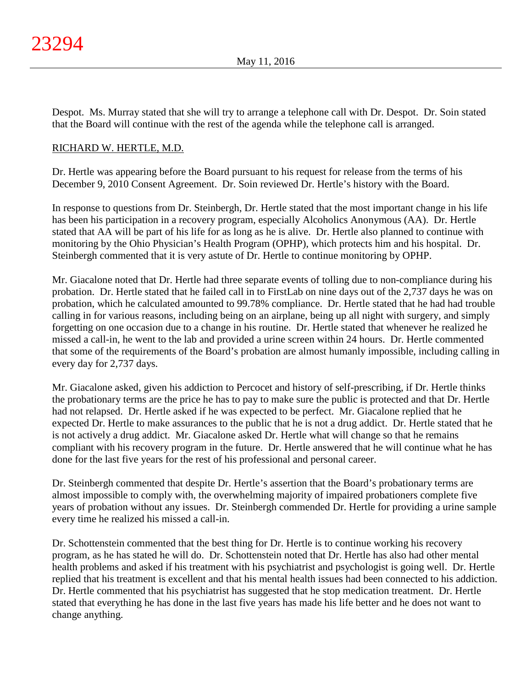Despot. Ms. Murray stated that she will try to arrange a telephone call with Dr. Despot. Dr. Soin stated that the Board will continue with the rest of the agenda while the telephone call is arranged.

### RICHARD W. HERTLE, M.D.

Dr. Hertle was appearing before the Board pursuant to his request for release from the terms of his December 9, 2010 Consent Agreement. Dr. Soin reviewed Dr. Hertle's history with the Board.

In response to questions from Dr. Steinbergh, Dr. Hertle stated that the most important change in his life has been his participation in a recovery program, especially Alcoholics Anonymous (AA). Dr. Hertle stated that AA will be part of his life for as long as he is alive. Dr. Hertle also planned to continue with monitoring by the Ohio Physician's Health Program (OPHP), which protects him and his hospital. Dr. Steinbergh commented that it is very astute of Dr. Hertle to continue monitoring by OPHP.

Mr. Giacalone noted that Dr. Hertle had three separate events of tolling due to non-compliance during his probation. Dr. Hertle stated that he failed call in to FirstLab on nine days out of the 2,737 days he was on probation, which he calculated amounted to 99.78% compliance. Dr. Hertle stated that he had had trouble calling in for various reasons, including being on an airplane, being up all night with surgery, and simply forgetting on one occasion due to a change in his routine. Dr. Hertle stated that whenever he realized he missed a call-in, he went to the lab and provided a urine screen within 24 hours. Dr. Hertle commented that some of the requirements of the Board's probation are almost humanly impossible, including calling in every day for 2,737 days.

Mr. Giacalone asked, given his addiction to Percocet and history of self-prescribing, if Dr. Hertle thinks the probationary terms are the price he has to pay to make sure the public is protected and that Dr. Hertle had not relapsed. Dr. Hertle asked if he was expected to be perfect. Mr. Giacalone replied that he expected Dr. Hertle to make assurances to the public that he is not a drug addict. Dr. Hertle stated that he is not actively a drug addict. Mr. Giacalone asked Dr. Hertle what will change so that he remains compliant with his recovery program in the future. Dr. Hertle answered that he will continue what he has done for the last five years for the rest of his professional and personal career.

Dr. Steinbergh commented that despite Dr. Hertle's assertion that the Board's probationary terms are almost impossible to comply with, the overwhelming majority of impaired probationers complete five years of probation without any issues. Dr. Steinbergh commended Dr. Hertle for providing a urine sample every time he realized his missed a call-in.

Dr. Schottenstein commented that the best thing for Dr. Hertle is to continue working his recovery program, as he has stated he will do. Dr. Schottenstein noted that Dr. Hertle has also had other mental health problems and asked if his treatment with his psychiatrist and psychologist is going well. Dr. Hertle replied that his treatment is excellent and that his mental health issues had been connected to his addiction. Dr. Hertle commented that his psychiatrist has suggested that he stop medication treatment. Dr. Hertle stated that everything he has done in the last five years has made his life better and he does not want to change anything.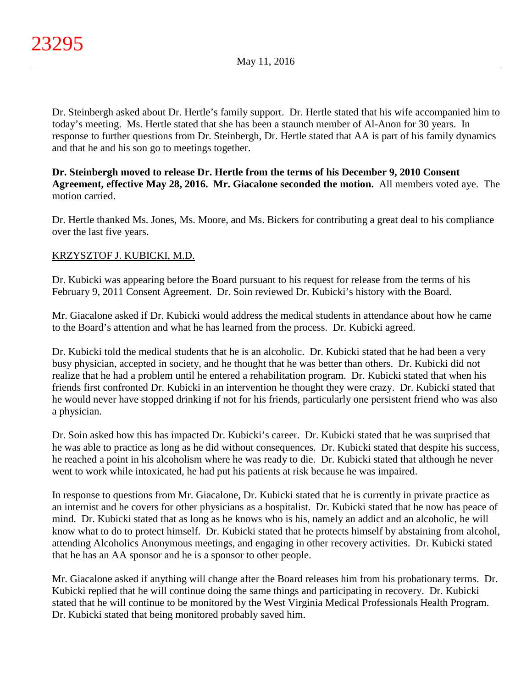Dr. Steinbergh asked about Dr. Hertle's family support. Dr. Hertle stated that his wife accompanied him to today's meeting. Ms. Hertle stated that she has been a staunch member of Al-Anon for 30 years. In response to further questions from Dr. Steinbergh, Dr. Hertle stated that AA is part of his family dynamics and that he and his son go to meetings together.

# **Dr. Steinbergh moved to release Dr. Hertle from the terms of his December 9, 2010 Consent Agreement, effective May 28, 2016. Mr. Giacalone seconded the motion.** All members voted aye. The motion carried.

Dr. Hertle thanked Ms. Jones, Ms. Moore, and Ms. Bickers for contributing a great deal to his compliance over the last five years.

# KRZYSZTOF J. KUBICKI, M.D.

Dr. Kubicki was appearing before the Board pursuant to his request for release from the terms of his February 9, 2011 Consent Agreement. Dr. Soin reviewed Dr. Kubicki's history with the Board.

Mr. Giacalone asked if Dr. Kubicki would address the medical students in attendance about how he came to the Board's attention and what he has learned from the process. Dr. Kubicki agreed.

Dr. Kubicki told the medical students that he is an alcoholic. Dr. Kubicki stated that he had been a very busy physician, accepted in society, and he thought that he was better than others. Dr. Kubicki did not realize that he had a problem until he entered a rehabilitation program. Dr. Kubicki stated that when his friends first confronted Dr. Kubicki in an intervention he thought they were crazy. Dr. Kubicki stated that he would never have stopped drinking if not for his friends, particularly one persistent friend who was also a physician.

Dr. Soin asked how this has impacted Dr. Kubicki's career. Dr. Kubicki stated that he was surprised that he was able to practice as long as he did without consequences. Dr. Kubicki stated that despite his success, he reached a point in his alcoholism where he was ready to die. Dr. Kubicki stated that although he never went to work while intoxicated, he had put his patients at risk because he was impaired.

In response to questions from Mr. Giacalone, Dr. Kubicki stated that he is currently in private practice as an internist and he covers for other physicians as a hospitalist. Dr. Kubicki stated that he now has peace of mind. Dr. Kubicki stated that as long as he knows who is his, namely an addict and an alcoholic, he will know what to do to protect himself. Dr. Kubicki stated that he protects himself by abstaining from alcohol, attending Alcoholics Anonymous meetings, and engaging in other recovery activities. Dr. Kubicki stated that he has an AA sponsor and he is a sponsor to other people.

Mr. Giacalone asked if anything will change after the Board releases him from his probationary terms. Dr. Kubicki replied that he will continue doing the same things and participating in recovery. Dr. Kubicki stated that he will continue to be monitored by the West Virginia Medical Professionals Health Program. Dr. Kubicki stated that being monitored probably saved him.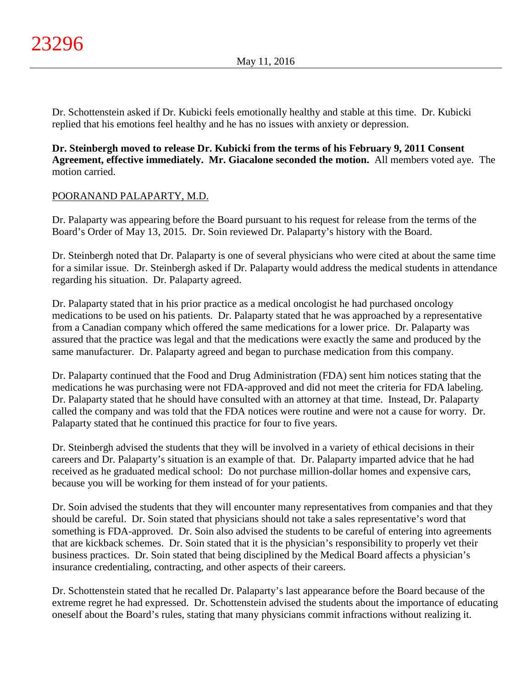Dr. Schottenstein asked if Dr. Kubicki feels emotionally healthy and stable at this time. Dr. Kubicki replied that his emotions feel healthy and he has no issues with anxiety or depression.

**Dr. Steinbergh moved to release Dr. Kubicki from the terms of his February 9, 2011 Consent Agreement, effective immediately. Mr. Giacalone seconded the motion.** All members voted aye. The motion carried.

# POORANAND PALAPARTY, M.D.

Dr. Palaparty was appearing before the Board pursuant to his request for release from the terms of the Board's Order of May 13, 2015. Dr. Soin reviewed Dr. Palaparty's history with the Board.

Dr. Steinbergh noted that Dr. Palaparty is one of several physicians who were cited at about the same time for a similar issue. Dr. Steinbergh asked if Dr. Palaparty would address the medical students in attendance regarding his situation. Dr. Palaparty agreed.

Dr. Palaparty stated that in his prior practice as a medical oncologist he had purchased oncology medications to be used on his patients. Dr. Palaparty stated that he was approached by a representative from a Canadian company which offered the same medications for a lower price. Dr. Palaparty was assured that the practice was legal and that the medications were exactly the same and produced by the same manufacturer. Dr. Palaparty agreed and began to purchase medication from this company.

Dr. Palaparty continued that the Food and Drug Administration (FDA) sent him notices stating that the medications he was purchasing were not FDA-approved and did not meet the criteria for FDA labeling. Dr. Palaparty stated that he should have consulted with an attorney at that time. Instead, Dr. Palaparty called the company and was told that the FDA notices were routine and were not a cause for worry. Dr. Palaparty stated that he continued this practice for four to five years.

Dr. Steinbergh advised the students that they will be involved in a variety of ethical decisions in their careers and Dr. Palaparty's situation is an example of that. Dr. Palaparty imparted advice that he had received as he graduated medical school: Do not purchase million-dollar homes and expensive cars, because you will be working for them instead of for your patients.

Dr. Soin advised the students that they will encounter many representatives from companies and that they should be careful. Dr. Soin stated that physicians should not take a sales representative's word that something is FDA-approved. Dr. Soin also advised the students to be careful of entering into agreements that are kickback schemes. Dr. Soin stated that it is the physician's responsibility to properly vet their business practices. Dr. Soin stated that being disciplined by the Medical Board affects a physician's insurance credentialing, contracting, and other aspects of their careers.

Dr. Schottenstein stated that he recalled Dr. Palaparty's last appearance before the Board because of the extreme regret he had expressed. Dr. Schottenstein advised the students about the importance of educating oneself about the Board's rules, stating that many physicians commit infractions without realizing it.